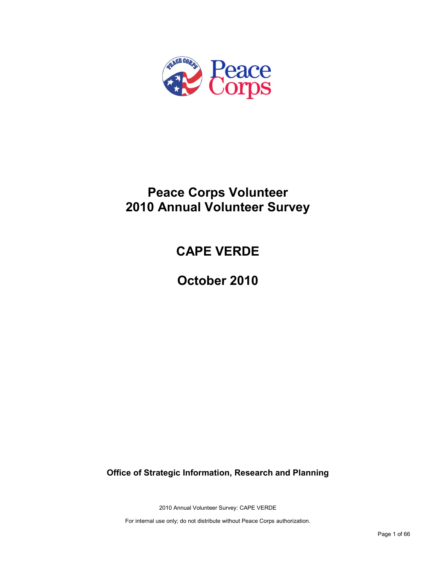

# **Peace Corps Volunteer 2010 Annual Volunteer Survey**

# **CAPE VERDE**

**October 2010**

**Office of Strategic Information, Research and Planning**

2010 Annual Volunteer Survey: CAPE VERDE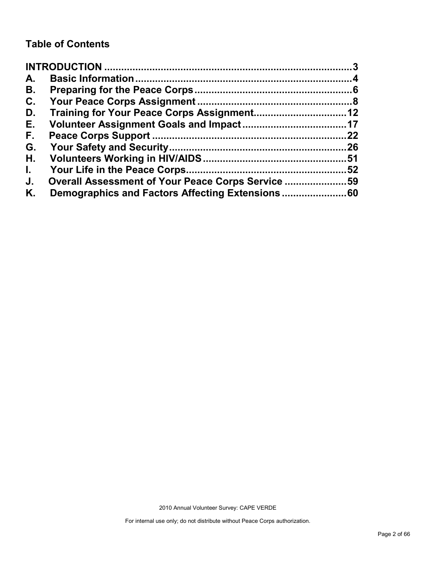# **Table of Contents**

| A.           |                                                   |    |
|--------------|---------------------------------------------------|----|
| В.           |                                                   |    |
| C.           |                                                   |    |
| D.           |                                                   |    |
| Е.           |                                                   |    |
| F.           |                                                   | 22 |
| G.           |                                                   |    |
| Η.           |                                                   |    |
| $\mathbf{L}$ |                                                   | 52 |
| J.           | Overall Assessment of Your Peace Corps Service 59 |    |
| Κ.           |                                                   |    |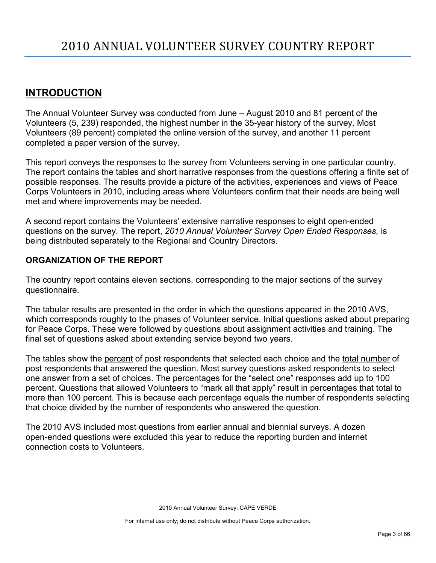# <span id="page-2-0"></span>**INTRODUCTION**

The Annual Volunteer Survey was conducted from June – August 2010 and 81 percent of the Volunteers (5, 239) responded, the highest number in the 35-year history of the survey. Most Volunteers (89 percent) completed the online version of the survey, and another 11 percent completed a paper version of the survey.

This report conveys the responses to the survey from Volunteers serving in one particular country. The report contains the tables and short narrative responses from the questions offering a finite set of possible responses. The results provide a picture of the activities, experiences and views of Peace Corps Volunteers in 2010, including areas where Volunteers confirm that their needs are being well met and where improvements may be needed.

A second report contains the Volunteers' extensive narrative responses to eight open-ended questions on the survey. The report, *2010 Annual Volunteer Survey Open Ended Responses,* is being distributed separately to the Regional and Country Directors.

# **ORGANIZATION OF THE REPORT**

The country report contains eleven sections, corresponding to the major sections of the survey questionnaire.

The tabular results are presented in the order in which the questions appeared in the 2010 AVS, which corresponds roughly to the phases of Volunteer service. Initial questions asked about preparing for Peace Corps. These were followed by questions about assignment activities and training. The final set of questions asked about extending service beyond two years.

The tables show the percent of post respondents that selected each choice and the total number of post respondents that answered the question. Most survey questions asked respondents to select one answer from a set of choices. The percentages for the "select one" responses add up to 100 percent. Questions that allowed Volunteers to "mark all that apply" result in percentages that total to more than 100 percent. This is because each percentage equals the number of respondents selecting that choice divided by the number of respondents who answered the question.

The 2010 AVS included most questions from earlier annual and biennial surveys. A dozen open-ended questions were excluded this year to reduce the reporting burden and internet connection costs to Volunteers.

2010 Annual Volunteer Survey: CAPE VERDE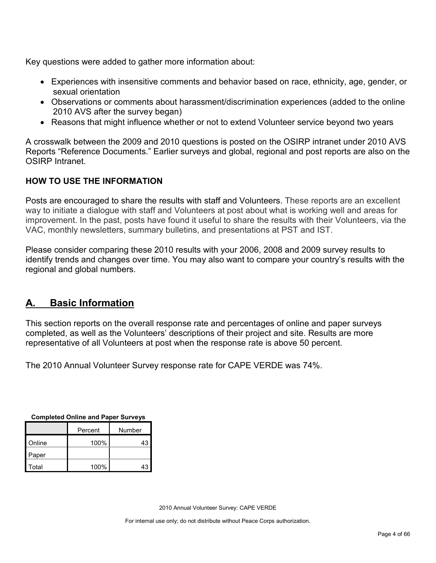Key questions were added to gather more information about:

- Experiences with insensitive comments and behavior based on race, ethnicity, age, gender, or sexual orientation
- Observations or comments about harassment/discrimination experiences (added to the online 2010 AVS after the survey began)
- Reasons that might influence whether or not to extend Volunteer service beyond two years

A crosswalk between the 2009 and 2010 questions is posted on the OSIRP intranet under 2010 AVS Reports "Reference Documents." Earlier surveys and global, regional and post reports are also on the OSIRP Intranet.

# **HOW TO USE THE INFORMATION**

Posts are encouraged to share the results with staff and Volunteers. These reports are an excellent way to initiate a dialogue with staff and Volunteers at post about what is working well and areas for improvement. In the past, posts have found it useful to share the results with their Volunteers, via the VAC, monthly newsletters, summary bulletins, and presentations at PST and IST.

Please consider comparing these 2010 results with your 2006, 2008 and 2009 survey results to identify trends and changes over time. You may also want to compare your country's results with the regional and global numbers.

# <span id="page-3-0"></span>**A. Basic Information**

This section reports on the overall response rate and percentages of online and paper surveys completed, as well as the Volunteers' descriptions of their project and site. Results are more representative of all Volunteers at post when the response rate is above 50 percent.

The 2010 Annual Volunteer Survey response rate for CAPE VERDE was 74%.

| Completed Online and Paper Surveys |      |        |  |  |
|------------------------------------|------|--------|--|--|
| Percent                            |      | Number |  |  |
| Online                             | 100% | 43     |  |  |
| Paper                              |      |        |  |  |
| Total                              | 100% | 43     |  |  |

**Completed Online and Paper Surveys**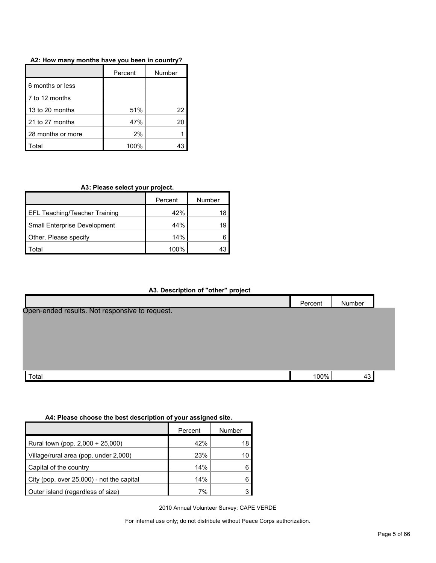|                   | Percent | Number |
|-------------------|---------|--------|
| 6 months or less  |         |        |
| 7 to 12 months    |         |        |
| 13 to 20 months   | 51%     | 22     |
| 21 to 27 months   | 47%     | 20     |
| 28 months or more | 2%      |        |
| otal              | 100%    |        |

#### **A2: How many months have you been in country?**

### **A3: Please select your project.**

|                                      | Percent | Number |
|--------------------------------------|---------|--------|
| <b>EFL Teaching/Teacher Training</b> | 42%     | 18     |
| Small Enterprise Development         | 44%     | 19     |
| Other. Please specify                | 14%     |        |
| ota'                                 | 100%    |        |

#### **A3. Description of "other" project**



### **A4: Please choose the best description of your assigned site.**

|                                           | Percent | Number |
|-------------------------------------------|---------|--------|
| Rural town (pop. 2,000 + 25,000)          | 42%     | 18     |
| Village/rural area (pop. under 2,000)     | 23%     | 10     |
| Capital of the country                    | 14%     |        |
| City (pop. over 25,000) - not the capital | 14%     |        |
| Outer island (regardless of size)         | 7%      |        |

2010 Annual Volunteer Survey: CAPE VERDE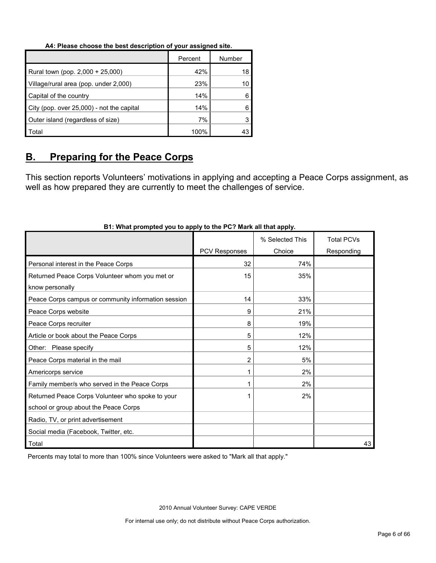#### **A4: Please choose the best description of your assigned site.**

|                                           | Percent | Number |
|-------------------------------------------|---------|--------|
| Rural town (pop. 2,000 + 25,000)          | 42%     | 18     |
| Village/rural area (pop. under 2,000)     | 23%     |        |
| Capital of the country                    | 14%     |        |
| City (pop. over 25,000) - not the capital | 14%     |        |
| Outer island (regardless of size)         | 7%      |        |
| Total                                     | 100%    |        |

# <span id="page-5-0"></span>**B. Preparing for the Peace Corps**

This section reports Volunteers' motivations in applying and accepting a Peace Corps assignment, as well as how prepared they are currently to meet the challenges of service.

|                                                     |                | % Selected This | <b>Total PCVs</b> |
|-----------------------------------------------------|----------------|-----------------|-------------------|
|                                                     | PCV Responses  | Choice          | Responding        |
| Personal interest in the Peace Corps                | 32             | 74%             |                   |
| Returned Peace Corps Volunteer whom you met or      | 15             | 35%             |                   |
| know personally                                     |                |                 |                   |
| Peace Corps campus or community information session | 14             | 33%             |                   |
| Peace Corps website                                 | 9              | 21%             |                   |
| Peace Corps recruiter                               | 8              | 19%             |                   |
| Article or book about the Peace Corps               | 5              | 12%             |                   |
| Other: Please specify                               | 5              | 12%             |                   |
| Peace Corps material in the mail                    | $\overline{2}$ | 5%              |                   |
| Americorps service                                  |                | 2%              |                   |
| Family member/s who served in the Peace Corps       |                | 2%              |                   |
| Returned Peace Corps Volunteer who spoke to your    |                | 2%              |                   |
| school or group about the Peace Corps               |                |                 |                   |
| Radio, TV, or print advertisement                   |                |                 |                   |
| Social media (Facebook, Twitter, etc.               |                |                 |                   |
| Total                                               |                |                 | 43                |

# **B1: What prompted you to apply to the PC? Mark all that apply.**

Percents may total to more than 100% since Volunteers were asked to "Mark all that apply."

2010 Annual Volunteer Survey: CAPE VERDE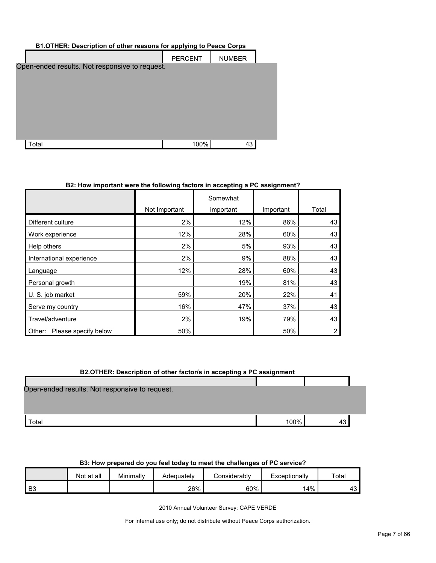| B1.OTHER: Description of other reasons for applying to Peace Corps |      |    |  |  |  |  |
|--------------------------------------------------------------------|------|----|--|--|--|--|
| <b>PERCENT</b><br><b>NUMBER</b>                                    |      |    |  |  |  |  |
| Open-ended results. Not responsive to request.                     |      |    |  |  |  |  |
|                                                                    |      |    |  |  |  |  |
|                                                                    |      |    |  |  |  |  |
|                                                                    |      |    |  |  |  |  |
|                                                                    |      |    |  |  |  |  |
|                                                                    |      |    |  |  |  |  |
|                                                                    |      |    |  |  |  |  |
| Total                                                              | 100% | 43 |  |  |  |  |

### **B2: How important were the following factors in accepting a PC assignment?**

|                                |               | Somewhat  |           |       |
|--------------------------------|---------------|-----------|-----------|-------|
|                                | Not Important | important | Important | Total |
| Different culture              | 2%            | 12%       | 86%       | 43    |
| Work experience                | 12%           | 28%       | 60%       | 43    |
| Help others                    | 2%            | 5%        | 93%       | 43    |
| International experience       | 2%            | 9%        | 88%       | 43    |
| Language                       | 12%           | 28%       | 60%       | 43    |
| Personal growth                |               | 19%       | 81%       | 43    |
| U. S. job market               | 59%           | 20%       | 22%       | 41    |
| Serve my country               | 16%           | 47%       | 37%       | 43    |
| Travel/adventure               | 2%            | 19%       | 79%       | 43    |
| Please specify below<br>Other: | 50%           |           | 50%       | 2     |

# **B2.OTHER: Description of other factor/s in accepting a PC assignment**

| Open-ended results. Not responsive to request. |      |  |
|------------------------------------------------|------|--|
|                                                |      |  |
|                                                |      |  |
| Total                                          | 100% |  |

|    | <b>POLITUM MINUMUM AV TVA IVULTUAR TU IIIVULTIIV VIIAIIVIIMVU VI II V UVI TIVU I</b> |           |            |              |               |       |
|----|--------------------------------------------------------------------------------------|-----------|------------|--------------|---------------|-------|
|    | Not at all                                                                           | Minimallv | Adequatelv | Considerabl∨ | Exceptionally | ™otal |
| B3 |                                                                                      |           | 26%        | 60%          | 14%           | 43.   |

# **B3: How prepared do you feel today to meet the challenges of PC service?**

2010 Annual Volunteer Survey: CAPE VERDE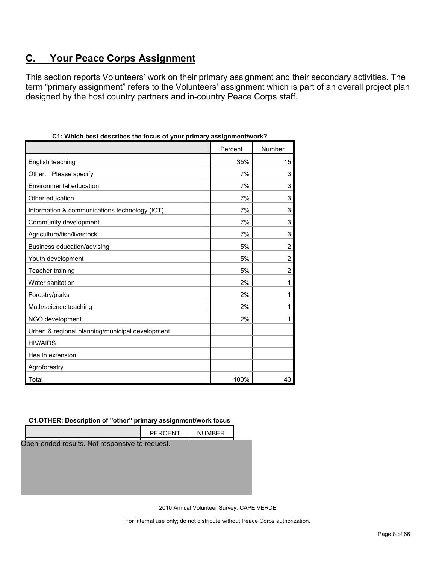# <span id="page-7-0"></span>**C. Your Peace Corps Assignment**

This section reports Volunteers' work on their primary assignment and their secondary activities. The term "primary assignment" refers to the Volunteers' assignment which is part of an overall project plan designed by the host country partners and in-country Peace Corps staff.

|                                                 | Percent | Number         |
|-------------------------------------------------|---------|----------------|
| English teaching                                | 35%     | 15             |
| Other: Please specify                           | 7%      | 3              |
| Environmental education                         | 7%      | 3              |
| Other education                                 | 7%      | 3              |
| Information & communications technology (ICT)   | 7%      | 3              |
| Community development                           | 7%      | 3              |
| Agriculture/fish/livestock                      | 7%      | 3              |
| Business education/advising                     | 5%      | $\overline{2}$ |
| Youth development                               | 5%      | 2              |
| Teacher training                                | 5%      | $\overline{c}$ |
| Water sanitation                                | 2%      | 1              |
| Forestry/parks                                  | 2%      | 1              |
| Math/science teaching                           | 2%      | 1              |
| NGO development                                 | 2%      | 1              |
| Urban & regional planning/municipal development |         |                |
| <b>HIV/AIDS</b>                                 |         |                |
| Health extension                                |         |                |
| Agroforestry                                    |         |                |
| Total                                           | 100%    | 43             |

|  | C1: Which best describes the focus of your primary assignment/work? |  |  |  |
|--|---------------------------------------------------------------------|--|--|--|
|  |                                                                     |  |  |  |

#### **C1.OTHER: Description of "other" primary assignment/work focus**

|                                                | <b>PERCENT</b> | <b>NUMBER</b> |  |
|------------------------------------------------|----------------|---------------|--|
| Open-ended results. Not responsive to request. |                |               |  |
|                                                |                |               |  |
|                                                |                |               |  |
|                                                |                |               |  |
|                                                |                |               |  |

2010 Annual Volunteer Survey: CAPE VERDE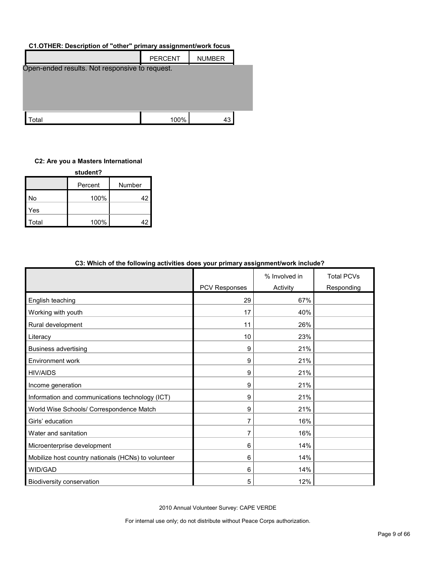### **C1.OTHER: Description of "other" primary assignment/work focus**

|                                                | <b>PERCENT</b> | <b>NUMBER</b> |  |  |
|------------------------------------------------|----------------|---------------|--|--|
| Open-ended results. Not responsive to request. |                |               |  |  |
|                                                |                |               |  |  |
|                                                |                |               |  |  |
|                                                |                |               |  |  |
| ʻotal                                          | 100%           | 43            |  |  |

# **C2: Are you a Masters International**

| student? |         |        |  |  |  |  |
|----------|---------|--------|--|--|--|--|
|          | Percent | Number |  |  |  |  |
| No       | 100%    | 42     |  |  |  |  |
| Yes      |         |        |  |  |  |  |
| Total    | 100%    | 42     |  |  |  |  |

| <u>thing is the following activities acceled four primary acciginhent more include.</u> |                      | % Involved in | <b>Total PCVs</b> |
|-----------------------------------------------------------------------------------------|----------------------|---------------|-------------------|
|                                                                                         | <b>PCV Responses</b> | Activity      | Responding        |
| English teaching                                                                        | 29                   | 67%           |                   |
| Working with youth                                                                      | 17                   | 40%           |                   |
| Rural development                                                                       | 11                   | 26%           |                   |
| Literacy                                                                                | 10                   | 23%           |                   |
| <b>Business advertising</b>                                                             | 9                    | 21%           |                   |
| Environment work                                                                        | 9                    | 21%           |                   |
| <b>HIV/AIDS</b>                                                                         | 9                    | 21%           |                   |
| Income generation                                                                       | 9                    | 21%           |                   |
| Information and communications technology (ICT)                                         | 9                    | 21%           |                   |
| World Wise Schools/ Correspondence Match                                                | 9                    | 21%           |                   |
| Girls' education                                                                        | 7                    | 16%           |                   |
| Water and sanitation                                                                    | 7                    | 16%           |                   |
| Microenterprise development                                                             | 6                    | 14%           |                   |
| Mobilize host country nationals (HCNs) to volunteer                                     | 6                    | 14%           |                   |
| WID/GAD                                                                                 | 6                    | 14%           |                   |
| Biodiversity conservation                                                               | 5                    | 12%           |                   |

# **C3: Which of the following activities does your primary assignment/work include?**

2010 Annual Volunteer Survey: CAPE VERDE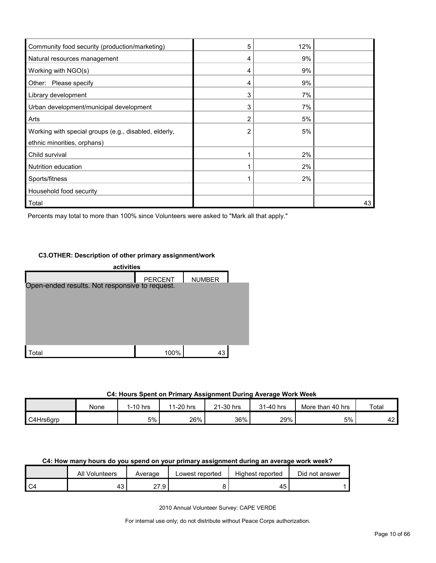| Community food security (production/marketing)        | 5 | 12% |    |
|-------------------------------------------------------|---|-----|----|
| Natural resources management                          | 4 | 9%  |    |
| Working with NGO(s)                                   | 4 | 9%  |    |
| Other: Please specify                                 | 4 | 9%  |    |
| Library development                                   | 3 | 7%  |    |
| Urban development/municipal development               | 3 | 7%  |    |
| Arts                                                  | 2 | 5%  |    |
| Working with special groups (e.g., disabled, elderly, |   | 5%  |    |
| ethnic minorities, orphans)                           |   |     |    |
| Child survival                                        |   | 2%  |    |
| Nutrition education                                   |   | 2%  |    |
| Sports/fitness                                        |   | 2%  |    |
| Household food security                               |   |     |    |
| Total                                                 |   |     | 43 |

Percents may total to more than 100% since Volunteers were asked to "Mark all that apply."

#### **C3.OTHER: Description of other primary assignment/work**



#### **C4: Hours Spent on Primary Assignment During Average Work Week**

|           | None | 1-10 hrs | 11-20 hrs | 21-30 hrs | 31-40 hrs | More than 40 hrs | Total |
|-----------|------|----------|-----------|-----------|-----------|------------------|-------|
|           |      |          |           |           |           |                  |       |
| C4Hrs6grp |      | 5%       | 26%       | 36%       | 29%       | 5%               | 42    |

#### **C4: How many hours do you spend on your primary assignment during an average work week?**

|    | All<br>Volunteers | Average   | Lowest reported | Highest reported | Did not answer |
|----|-------------------|-----------|-----------------|------------------|----------------|
| C4 | . .<br>᠇◡         | 77<br>. . |                 | 45               |                |

2010 Annual Volunteer Survey: CAPE VERDE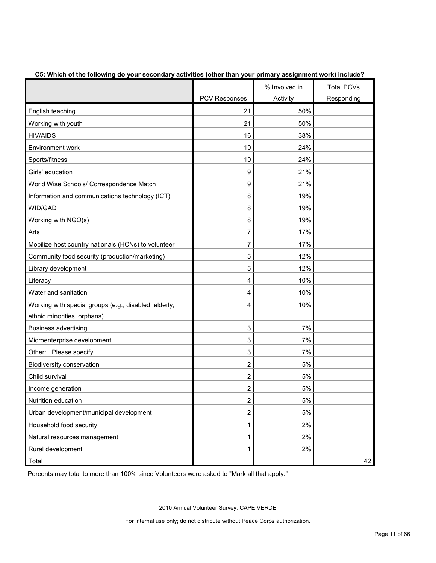|                                                       |                | % Involved in | <b>Total PCVs</b> |
|-------------------------------------------------------|----------------|---------------|-------------------|
|                                                       | PCV Responses  | Activity      | Responding        |
| English teaching                                      | 21             | 50%           |                   |
| Working with youth                                    | 21             | 50%           |                   |
| <b>HIV/AIDS</b>                                       | 16             | 38%           |                   |
| <b>Environment work</b>                               | 10             | 24%           |                   |
| Sports/fitness                                        | 10             | 24%           |                   |
| Girls' education                                      | 9              | 21%           |                   |
| World Wise Schools/ Correspondence Match              | 9              | 21%           |                   |
| Information and communications technology (ICT)       | 8              | 19%           |                   |
| WID/GAD                                               | 8              | 19%           |                   |
| Working with NGO(s)                                   | 8              | 19%           |                   |
| Arts                                                  | 7              | 17%           |                   |
| Mobilize host country nationals (HCNs) to volunteer   | 7              | 17%           |                   |
| Community food security (production/marketing)        | 5              | 12%           |                   |
| Library development                                   | 5              | 12%           |                   |
| Literacy                                              | 4              | 10%           |                   |
| Water and sanitation                                  | 4              | 10%           |                   |
| Working with special groups (e.g., disabled, elderly, | 4              | 10%           |                   |
| ethnic minorities, orphans)                           |                |               |                   |
| <b>Business advertising</b>                           | 3              | 7%            |                   |
| Microenterprise development                           | 3              | 7%            |                   |
| Other: Please specify                                 | 3              | 7%            |                   |
| Biodiversity conservation                             | 2              | 5%            |                   |
| Child survival                                        | $\overline{2}$ | 5%            |                   |
| Income generation                                     | 2              | 5%            |                   |
| Nutrition education                                   | $\mathbf{2}$   | 5%            |                   |
| Urban development/municipal development               | $\overline{c}$ | 5%            |                   |
| Household food security                               | 1              | 2%            |                   |
| Natural resources management                          | 1              | 2%            |                   |
| Rural development                                     | 1              | 2%            |                   |
| Total                                                 |                |               | 42                |

### **C5: Which of the following do your secondary activities (other than your primary assignment work) include?**

Percents may total to more than 100% since Volunteers were asked to "Mark all that apply."

2010 Annual Volunteer Survey: CAPE VERDE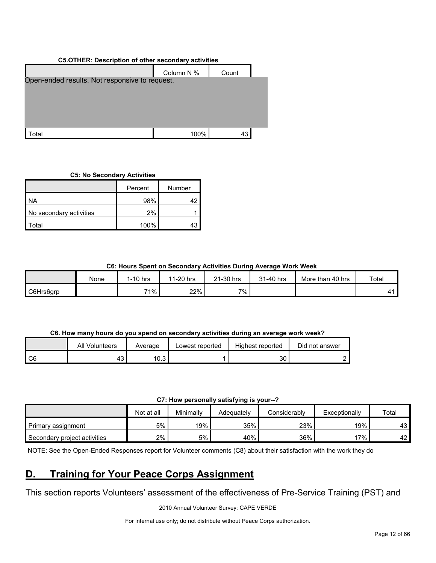# **C5.OTHER: Description of other secondary activities**



#### **C5: No Secondary Activities**

|                         | Percent | Number |
|-------------------------|---------|--------|
| <b>NA</b>               | 98%     |        |
| No secondary activities | 2%      |        |
| ʻotal                   | 100%    |        |

#### **C6: Hours Spent on Secondary Activities During Average Work Week**

|           | None | $1-10$ hrs | 11-20 hrs | 21-30 hrs | 31-40 hrs | More than 40 hrs | Total |
|-----------|------|------------|-----------|-----------|-----------|------------------|-------|
| C6Hrs6grp |      | 71%        | 22%       | 7%        |           |                  |       |

# **C6. How many hours do you spend on secondary activities during an average work week?**

|      | All<br>Volunteers | Average | Lowest reported | Highest reported | Did not answer |
|------|-------------------|---------|-----------------|------------------|----------------|
| I C6 | - 40              | 10.3    |                 | 30               |                |

#### **C7: How personally satisfying is your--?**

|                              | Not at all | Minimally | Adeauatelv | Considerably | Exceptionally | Total |
|------------------------------|------------|-----------|------------|--------------|---------------|-------|
| Primary assignment           | 5%         | 19%       | 35%        | 23%          | 19%           | 43    |
| Secondary project activities | 2%         | 5%        | 40%        | 36%          | $.7\%$ .      | 42    |

NOTE: See the Open-Ended Responses report for Volunteer comments (C8) about their satisfaction with the work they do

# <span id="page-11-0"></span>**D. Training for Your Peace Corps Assignment**

This section reports Volunteers' assessment of the effectiveness of Pre-Service Training (PST) and

2010 Annual Volunteer Survey: CAPE VERDE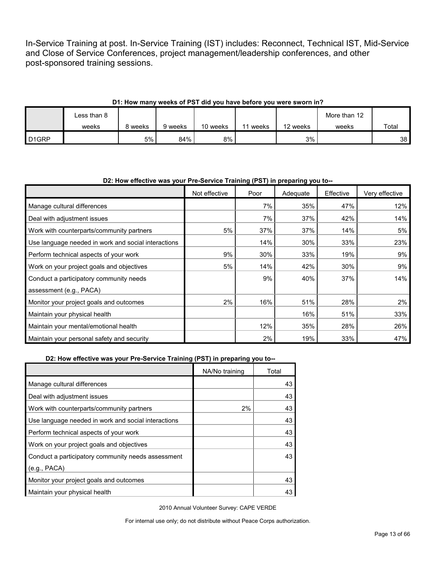In-Service Training at post. In-Service Training (IST) includes: Reconnect, Technical IST, Mid-Service and Close of Service Conferences, project management/leadership conferences, and other post-sponsored training sessions.

# **D1: How many weeks of PST did you have before you were sworn in?**

|                   | Less than 8 |         |         |          |       |          | More than 12 |       |
|-------------------|-------------|---------|---------|----------|-------|----------|--------------|-------|
|                   | weeks       | 8 weeks | 9 weeks | 10 weeks | weeks | 12 weeks | weeks        | Total |
| D <sub>1GRP</sub> |             | 5%      | 84%     | 8%       |       | 3%       |              | 38    |

#### **D2: How effective was your Pre-Service Training (PST) in preparing you to--**

|                                                     | Not effective | Poor | Adequate | Effective | Very effective |
|-----------------------------------------------------|---------------|------|----------|-----------|----------------|
| Manage cultural differences                         |               | 7%   | 35%      | 47%       | 12%            |
| Deal with adjustment issues                         |               | 7%   | 37%      | 42%       | 14%            |
| Work with counterparts/community partners           | 5%            | 37%  | 37%      | 14%       | 5%             |
| Use language needed in work and social interactions |               | 14%  | 30%      | 33%       | 23%            |
| Perform technical aspects of your work              | 9%            | 30%  | 33%      | 19%       | 9%             |
| Work on your project goals and objectives           | 5%            | 14%  | 42%      | 30%       | 9%             |
| Conduct a participatory community needs             |               | 9%   | 40%      | 37%       | 14%            |
| assessment (e.g., PACA)                             |               |      |          |           |                |
| Monitor your project goals and outcomes             | 2%            | 16%  | 51%      | 28%       | $2\%$          |
| Maintain your physical health                       |               |      | 16%      | 51%       | 33%            |
| Maintain your mental/emotional health               |               | 12%  | 35%      | 28%       | 26%            |
| Maintain your personal safety and security          |               | 2%   | 19%      | 33%       | 47%            |

#### **D2: How effective was your Pre-Service Training (PST) in preparing you to--**

|                                                     | NA/No training | Total |
|-----------------------------------------------------|----------------|-------|
| Manage cultural differences                         |                | 43    |
| Deal with adjustment issues                         |                | 43    |
| Work with counterparts/community partners           | 2%             | 43    |
| Use language needed in work and social interactions |                | 43    |
| Perform technical aspects of your work              |                | 43    |
| Work on your project goals and objectives           |                | 43    |
| Conduct a participatory community needs assessment  |                | 43    |
| (e.g., PACA)                                        |                |       |
| Monitor your project goals and outcomes             |                | 43    |
| Maintain your physical health                       |                | 43    |

2010 Annual Volunteer Survey: CAPE VERDE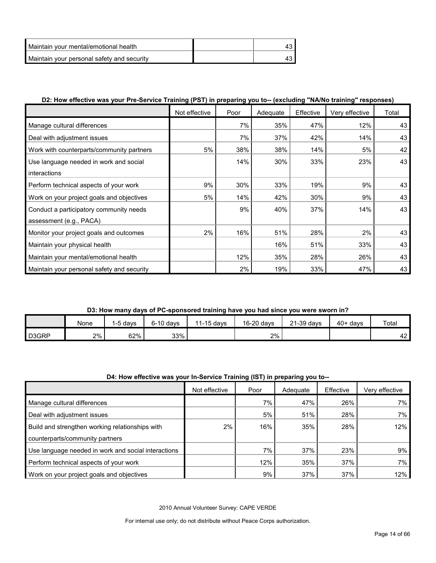| Maintain vour mental/emotional health      |  |
|--------------------------------------------|--|
| Maintain your personal safety and security |  |

# **D2: How effective was your Pre-Service Training (PST) in preparing you to-- (excluding "NA/No training" responses)**

|                                            | Not effective | Poor | Adequate | Effective | Very effective | Total |
|--------------------------------------------|---------------|------|----------|-----------|----------------|-------|
| Manage cultural differences                |               | 7%   | 35%      | 47%       | 12%            | 43    |
| Deal with adjustment issues                |               | 7%   | 37%      | 42%       | 14%            | 43    |
| Work with counterparts/community partners  | 5%            | 38%  | 38%      | 14%       | 5%             | 42    |
| Use language needed in work and social     |               | 14%  | 30%      | 33%       | 23%            | 43    |
| interactions                               |               |      |          |           |                |       |
| Perform technical aspects of your work     | 9%            | 30%  | 33%      | 19%       | 9%             | 43    |
| Work on your project goals and objectives  | 5%            | 14%  | 42%      | 30%       | 9%             | 43    |
| Conduct a participatory community needs    |               | 9%   | 40%      | 37%       | 14%            | 43    |
| assessment (e.g., PACA)                    |               |      |          |           |                |       |
| Monitor your project goals and outcomes    | 2%            | 16%  | 51%      | 28%       | 2%             | 43    |
| Maintain your physical health              |               |      | 16%      | 51%       | 33%            | 43    |
| Maintain your mental/emotional health      |               | 12%  | 35%      | 28%       | 26%            | 43    |
| Maintain your personal safety and security |               | 2%   | 19%      | 33%       | 47%            | 43    |

# **D3: How many days of PC-sponsored training have you had since you were sworn in?**

|                    | None | davs | $6-10$ davs | 11-15 days | 16-20 days | $21-39$ days | $40+$ davs | Total    |
|--------------------|------|------|-------------|------------|------------|--------------|------------|----------|
| D <sub>3</sub> GRP | 2%   | 62%  | 33%         |            | 2%         |              |            | າຕ<br>44 |

# **D4: How effective was your In-Service Training (IST) in preparing you to--**

|                                                     | Not effective | Poor | Adequate | Effective | Verv effective |
|-----------------------------------------------------|---------------|------|----------|-----------|----------------|
| Manage cultural differences                         |               | 7%   | 47%      | 26%       | 7%             |
| Deal with adjustment issues                         |               | 5%   | 51%      | 28%       | 7%             |
| Build and strengthen working relationships with     | 2%            | 16%  | 35%      | 28%       | 12%            |
| counterparts/community partners                     |               |      |          |           |                |
| Use language needed in work and social interactions |               | 7%   | 37%      | 23%       | 9%             |
| Perform technical aspects of your work              |               | 12%  | 35%      | 37%       | 7%             |
| Work on your project goals and objectives           |               | 9%   | 37%      | 37%       | 12%            |

2010 Annual Volunteer Survey: CAPE VERDE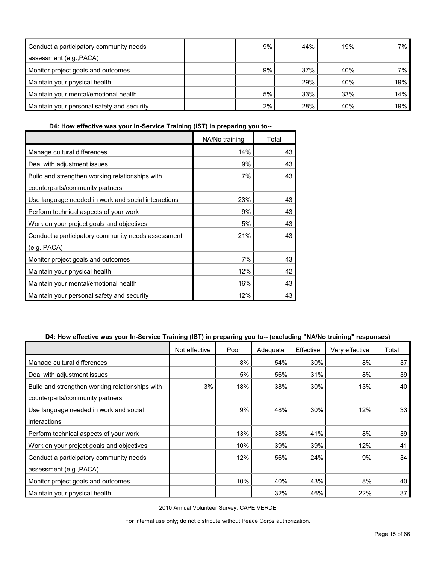| Conduct a participatory community needs    | 9% | 44% | 19% | 7% l |
|--------------------------------------------|----|-----|-----|------|
| assessment (e.g., PACA)                    |    |     |     |      |
| Monitor project goals and outcomes         | 9% | 37% | 40% | 7% l |
| Maintain your physical health              |    | 29% | 40% | 19%  |
| Maintain your mental/emotional health      | 5% | 33% | 33% | 14%  |
| Maintain your personal safety and security | 2% | 28% | 40% | 19%  |

**D4: How effective was your In-Service Training (IST) in preparing you to--**

|                                                     | NA/No training | Total |
|-----------------------------------------------------|----------------|-------|
| Manage cultural differences                         | 14%            | 43    |
| Deal with adjustment issues                         | 9%             | 43    |
| Build and strengthen working relationships with     | 7%             | 43    |
| counterparts/community partners                     |                |       |
| Use language needed in work and social interactions | 23%            | 43    |
| Perform technical aspects of your work              | 9%             | 43    |
| Work on your project goals and objectives           | 5%             | 43    |
| Conduct a participatory community needs assessment  | 21%            | 43    |
| (e.g., PACA)                                        |                |       |
| Monitor project goals and outcomes                  | 7%             | 43    |
| Maintain your physical health                       | 12%            | 42    |
| Maintain your mental/emotional health               | 16%            | 43    |
| Maintain your personal safety and security          | 12%            | 43    |

# **D4: How effective was your In-Service Training (IST) in preparing you to-- (excluding "NA/No training" responses)**

|                                                 | Not effective | Poor | Adequate | Effective | Very effective | Total |
|-------------------------------------------------|---------------|------|----------|-----------|----------------|-------|
| Manage cultural differences                     |               | 8%   | 54%      | 30%       | 8%             | 37    |
| Deal with adjustment issues                     |               | 5%   | 56%      | 31%       | 8%             | 39    |
| Build and strengthen working relationships with | 3%            | 18%  | 38%      | 30%       | 13%            | 40    |
| counterparts/community partners                 |               |      |          |           |                |       |
| Use language needed in work and social          |               | 9%   | 48%      | 30%       | 12%            | 33    |
| interactions                                    |               |      |          |           |                |       |
| Perform technical aspects of your work          |               | 13%  | 38%      | 41%       | 8%             | 39    |
| Work on your project goals and objectives       |               | 10%  | 39%      | 39%       | 12%            | 41    |
| Conduct a participatory community needs         |               | 12%  | 56%      | 24%       | 9%             | 34    |
| assessment (e.g., PACA)                         |               |      |          |           |                |       |
| Monitor project goals and outcomes              |               | 10%  | 40%      | 43%       | 8%             | 40    |
| Maintain your physical health                   |               |      | 32%      | 46%       | 22%            | 37    |

2010 Annual Volunteer Survey: CAPE VERDE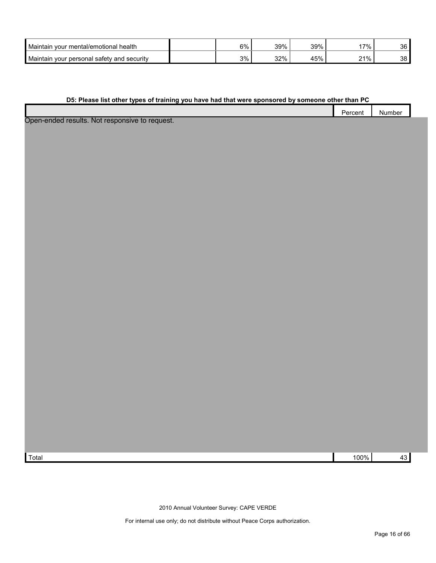| <b>Maintain</b><br>ו vour mental/emotional health | 6% | 39% | 39% | 7%    | 36 |
|---------------------------------------------------|----|-----|-----|-------|----|
| Maintain<br>⊧ vour personal safety and security   | 3% | 32% | 45% | າ1% ເ | 38 |

#### **D5: Please list other types of training you have had that were sponsored by someone other than PC**

|                                                        | Percent | .<br>Number |  |
|--------------------------------------------------------|---------|-------------|--|
| . A first was a warm a warm of the construction of the |         |             |  |

Open-ended results. Not responsive to request.

Total 100% 43

2010 Annual Volunteer Survey: CAPE VERDE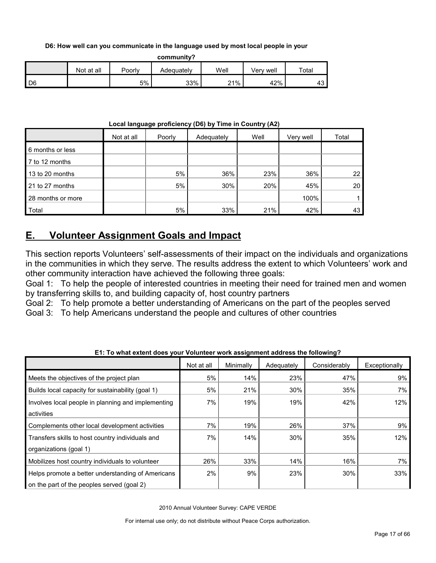**D6: How well can you communicate in the language used by most local people in your** 

**community?**

|                   | Not at all | Poorly | Adequately | Well | well<br>√erv | <b>Tota</b> |
|-------------------|------------|--------|------------|------|--------------|-------------|
| $\overline{1}$ D6 |            | $5\%$  | 33%        | 21%  | 42%          | 40.         |

#### **Local language proficiency (D6) by Time in Country (A2)**

|                   | Not at all | Poorly | Adequately | Well | Very well | Total |
|-------------------|------------|--------|------------|------|-----------|-------|
| 6 months or less  |            |        |            |      |           |       |
| 7 to 12 months    |            |        |            |      |           |       |
| 13 to 20 months   |            | 5%     | 36%        | 23%  | 36%       | 22    |
| 21 to 27 months   |            | 5%     | 30%        | 20%  | 45%       | 20    |
| 28 months or more |            |        |            |      | 100%      |       |
| Total             |            | 5%     | 33%        | 21%  | 42%       | 43    |

# <span id="page-16-0"></span>**E. Volunteer Assignment Goals and Impact**

This section reports Volunteers' self-assessments of their impact on the individuals and organizations in the communities in which they serve. The results address the extent to which Volunteers' work and other community interaction have achieved the following three goals:

Goal 1: To help the people of interested countries in meeting their need for trained men and women by transferring skills to, and building capacity of, host country partners

Goal 2: To help promote a better understanding of Americans on the part of the peoples served

Goal 3: To help Americans understand the people and cultures of other countries

|                                                    | Not at all | Minimally | Adequately | Considerably | Exceptionally |
|----------------------------------------------------|------------|-----------|------------|--------------|---------------|
| Meets the objectives of the project plan           | 5%         | 14%       | 23%        | 47%          | 9%            |
| Builds local capacity for sustainability (goal 1)  | 5%         | 21%       | 30%        | 35%          | 7%            |
| Involves local people in planning and implementing | 7%         | 19%       | 19%        | 42%          | 12%           |
| activities                                         |            |           |            |              |               |
| Complements other local development activities     | 7%         | 19%       | 26%        | 37%          | 9%            |
| Transfers skills to host country individuals and   | 7%         | 14%       | 30%        | 35%          | 12%           |
| organizations (goal 1)                             |            |           |            |              |               |
| Mobilizes host country individuals to volunteer    | 26%        | 33%       | 14%        | 16%          | 7%            |
| Helps promote a better understanding of Americans  | 2%         | 9%        | 23%        | 30%          | 33%           |
| on the part of the peoples served (goal 2)         |            |           |            |              |               |

**E1: To what extent does your Volunteer work assignment address the following?**

2010 Annual Volunteer Survey: CAPE VERDE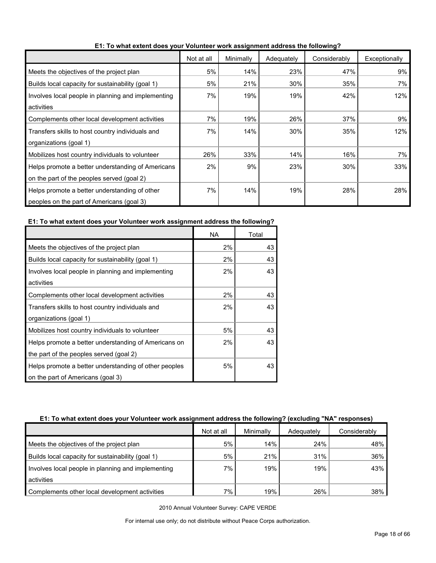|                                                    | Not at all | Minimally | Adequately | Considerably | Exceptionally |
|----------------------------------------------------|------------|-----------|------------|--------------|---------------|
| Meets the objectives of the project plan           | 5%         | 14%       | 23%        | 47%          | 9%            |
| Builds local capacity for sustainability (goal 1)  | 5%         | 21%       | 30%        | 35%          | 7%            |
| Involves local people in planning and implementing | 7%         | 19%       | 19%        | 42%          | 12%           |
| activities                                         |            |           |            |              |               |
| Complements other local development activities     | 7%         | 19%       | 26%        | 37%          | 9%            |
| Transfers skills to host country individuals and   | 7%         | 14%       | 30%        | 35%          | 12%           |
| organizations (goal 1)                             |            |           |            |              |               |
| Mobilizes host country individuals to volunteer    | 26%        | 33%       | 14%        | 16%          | 7%            |
| Helps promote a better understanding of Americans  | 2%         | 9%        | 23%        | 30%          | 33%           |
| on the part of the peoples served (goal 2)         |            |           |            |              |               |
| Helps promote a better understanding of other      | 7%         | 14%       | 19%        | 28%          | 28%           |
| peoples on the part of Americans (goal 3)          |            |           |            |              |               |

**E1: To what extent does your Volunteer work assignment address the following?**

#### **E1: To what extent does your Volunteer work assignment address the following?**

|                                                       | <b>NA</b> | Total |
|-------------------------------------------------------|-----------|-------|
| Meets the objectives of the project plan              | 2%        | 43    |
| Builds local capacity for sustainability (goal 1)     | 2%        | 43    |
| Involves local people in planning and implementing    | 2%        | 43    |
| activities                                            |           |       |
| Complements other local development activities        | 2%        | 43    |
| Transfers skills to host country individuals and      | 2%        | 43    |
| organizations (goal 1)                                |           |       |
| Mobilizes host country individuals to volunteer       | 5%        | 43    |
| Helps promote a better understanding of Americans on  | 2%        | 43    |
| the part of the peoples served (goal 2)               |           |       |
| Helps promote a better understanding of other peoples | 5%        | 43    |
| on the part of Americans (goal 3)                     |           |       |

#### **E1: To what extent does your Volunteer work assignment address the following? (excluding "NA" responses)**

|                                                    | Not at all | Minimally | Adequately | Considerably |
|----------------------------------------------------|------------|-----------|------------|--------------|
| Meets the objectives of the project plan           | 5%         | 14%       | 24%        | 48%          |
| Builds local capacity for sustainability (goal 1)  | 5%         | 21%       | 31%        | 36%          |
| Involves local people in planning and implementing | 7%         | 19%       | 19%        | 43%          |
| activities                                         |            |           |            |              |
| Complements other local development activities     | 7%         | 19%       | 26%        | 38%          |

2010 Annual Volunteer Survey: CAPE VERDE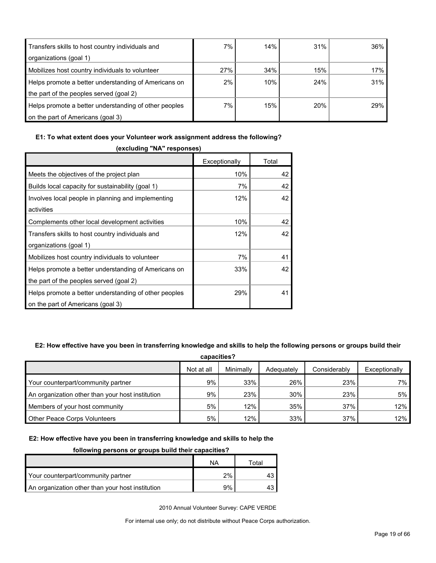| Transfers skills to host country individuals and      | 7%  | 14% | 31% | 36% |
|-------------------------------------------------------|-----|-----|-----|-----|
| organizations (goal 1)                                |     |     |     |     |
| Mobilizes host country individuals to volunteer       | 27% | 34% | 15% | 17% |
| Helps promote a better understanding of Americans on  | 2%  | 10% | 24% | 31% |
| the part of the peoples served (goal 2)               |     |     |     |     |
| Helps promote a better understanding of other peoples | 7%  | 15% | 20% | 29% |
| on the part of Americans (goal 3)                     |     |     |     |     |

#### **E1: To what extent does your Volunteer work assignment address the following?**

| (excluding "NA" responses)                            |               |       |  |  |  |  |
|-------------------------------------------------------|---------------|-------|--|--|--|--|
|                                                       | Exceptionally | Total |  |  |  |  |
| Meets the objectives of the project plan              | 10%           | 42    |  |  |  |  |
| Builds local capacity for sustainability (goal 1)     | 7%            | 42    |  |  |  |  |
| Involves local people in planning and implementing    | 12%           | 42    |  |  |  |  |
| activities                                            |               |       |  |  |  |  |
| Complements other local development activities        | 10%           | 42    |  |  |  |  |
| Transfers skills to host country individuals and      | 12%           | 42    |  |  |  |  |
| organizations (goal 1)                                |               |       |  |  |  |  |
| Mobilizes host country individuals to volunteer       | 7%            | 41    |  |  |  |  |
| Helps promote a better understanding of Americans on  | 33%           | 42    |  |  |  |  |
| the part of the peoples served (goal 2)               |               |       |  |  |  |  |
| Helps promote a better understanding of other peoples | 29%           | 41    |  |  |  |  |
| on the part of Americans (goal 3)                     |               |       |  |  |  |  |

# **E2: How effective have you been in transferring knowledge and skills to help the following persons or groups build their**

| capacities?                                      |            |           |            |              |               |  |
|--------------------------------------------------|------------|-----------|------------|--------------|---------------|--|
|                                                  | Not at all | Minimally | Adequately | Considerably | Exceptionally |  |
| Your counterpart/community partner               | 9%         | 33%       | 26%        | 23%          | 7% l          |  |
| An organization other than your host institution | 9%         | 23%       | 30%        | 23%          | 5%            |  |
| Members of your host community                   | 5%         | 12%       | 35%        | 37%          | 12%           |  |
| <b>Other Peace Corps Volunteers</b>              | 5%         | 12%       | 33%        | 37%          | 12%           |  |

#### **E2: How effective have you been in transferring knowledge and skills to help the**

#### **following persons or groups build their capacities?**

|                                                  | ΝA | Total |
|--------------------------------------------------|----|-------|
| Your counterpart/community partner               | 2% |       |
| An organization other than your host institution | 9% |       |

2010 Annual Volunteer Survey: CAPE VERDE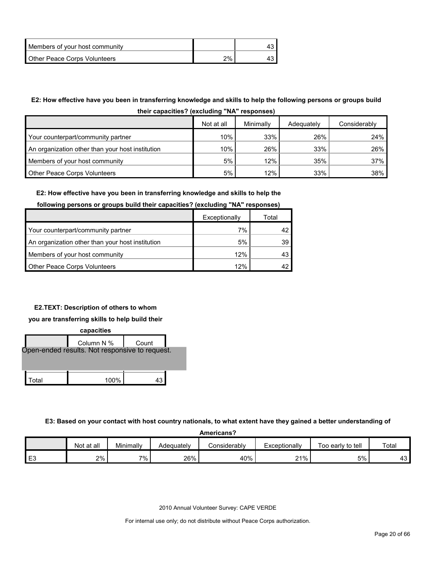| Members of your host community |    |  |
|--------------------------------|----|--|
| Other Peace Corps Volunteers   | 2% |  |

# **E2: How effective have you been in transferring knowledge and skills to help the following persons or groups build**

| their capacities? (excluding "NA" responses) |
|----------------------------------------------|
|----------------------------------------------|

|                                                  | Not at all | Minimally | Adequately | Considerably |
|--------------------------------------------------|------------|-----------|------------|--------------|
| Your counterpart/community partner               | 10%        | 33%       | 26%        | 24%          |
| An organization other than your host institution | 10%        | 26%       | 33%        | 26%          |
| Members of your host community                   | 5%         | 12%       | 35%        | 37%          |
| <b>Other Peace Corps Volunteers</b>              | 5%         | 12%       | 33%        | 38%          |

#### **E2: How effective have you been in transferring knowledge and skills to help the**

#### **following persons or groups build their capacities? (excluding "NA" responses)**

|                                                  | Exceptionally | Total |
|--------------------------------------------------|---------------|-------|
| Your counterpart/community partner               | 7%            |       |
| An organization other than your host institution | 5%            | 39.   |
| Members of your host community                   | 12%           |       |
| <b>Other Peace Corps Volunteers</b>              | 12%           |       |

# **E2.TEXT: Description of others to whom**

#### **you are transferring skills to help build their**



**E3: Based on your contact with host country nationals, to what extent have they gained a better understanding of** 

**Americans?**

|          | Not at all | Minimally | Adequatelv | Considerably | Exceptionally | Too early to tell | Total                          |
|----------|------------|-----------|------------|--------------|---------------|-------------------|--------------------------------|
| FЗ<br>∟∪ | 2%         | $7\%$ .   | 26%        | 40%          | 21%           | 5%                | $\overline{\phantom{a}}$<br>᠇୰ |

2010 Annual Volunteer Survey: CAPE VERDE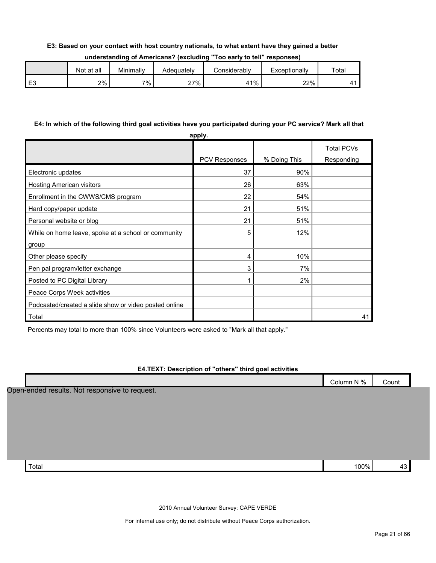#### **E3: Based on your contact with host country nationals, to what extent have they gained a better**

| understanding of Americans? (excluding "Too early to tell" responses) |  |  |
|-----------------------------------------------------------------------|--|--|
|-----------------------------------------------------------------------|--|--|

| Not at all | Minimally | Adequatelv | :onsiderablv | Exceptionally | Totai |
|------------|-----------|------------|--------------|---------------|-------|
| 2%         | 7%.       | 27%        | <b>41%</b>   | 22%           |       |

#### **E4: In which of the following third goal activities have you participated during your PC service? Mark all that**

|                                                       | apply.               |              |                                 |
|-------------------------------------------------------|----------------------|--------------|---------------------------------|
|                                                       | <b>PCV Responses</b> | % Doing This | <b>Total PCVs</b><br>Responding |
| Electronic updates                                    | 37                   | 90%          |                                 |
| Hosting American visitors                             | 26                   | 63%          |                                 |
| Enrollment in the CWWS/CMS program                    | 22                   | 54%          |                                 |
| Hard copy/paper update                                | 21                   | 51%          |                                 |
| Personal website or blog                              | 21                   | 51%          |                                 |
| While on home leave, spoke at a school or community   | 5                    | 12%          |                                 |
| group                                                 |                      |              |                                 |
| Other please specify                                  | 4                    | 10%          |                                 |
| Pen pal program/letter exchange                       | 3                    | 7%           |                                 |
| Posted to PC Digital Library                          | 1                    | 2%           |                                 |
| Peace Corps Week activities                           |                      |              |                                 |
| Podcasted/created a slide show or video posted online |                      |              |                                 |
| Total                                                 |                      |              | 41                              |

Percents may total to more than 100% since Volunteers were asked to "Mark all that apply."

#### **E4.TEXT: Description of "others" third goal activities**

|                                                | Column N % | Count |
|------------------------------------------------|------------|-------|
| Open-ended results. Not responsive to request. |            |       |
|                                                |            |       |
|                                                |            |       |
|                                                |            |       |
|                                                |            |       |
|                                                |            |       |
| Total                                          | 100%       | 43    |

2010 Annual Volunteer Survey: CAPE VERDE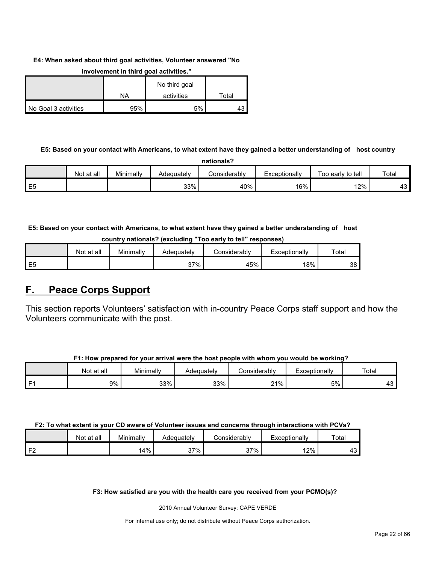#### **E4: When asked about third goal activities, Volunteer answered "No**

|                      |     | No third goal |       |
|----------------------|-----|---------------|-------|
|                      | ΝA  | activities    | Total |
| No Goal 3 activities | 95% | 5%            |       |

#### **involvement in third goal activities."**

# **E5: Based on your contact with Americans, to what extent have they gained a better understanding of host country nationals?**

|                | <b>Not</b><br>at all | Minimallv | Adequately | Considerably | Exceptionally | Too early to tell | Total     |
|----------------|----------------------|-----------|------------|--------------|---------------|-------------------|-----------|
| E <sub>5</sub> |                      |           | 33%        | 40%          | 16%           | 12%               | 10.<br>ຯບ |

**E5: Based on your contact with Americans, to what extent have they gained a better understanding of host country nationals? (excluding "Too early to tell" responses)**

|                | .          |           | - -        | ___<br>___          | ___           |       |
|----------------|------------|-----------|------------|---------------------|---------------|-------|
|                | Not at all | Minimally | Adequatelv | <b>Considerably</b> | Exceptionally | Total |
| E <sub>5</sub> |            |           | 37%        | 45%                 | 18%           | 38    |

# <span id="page-21-0"></span>**F. Peace Corps Support**

This section reports Volunteers' satisfaction with in-country Peace Corps staff support and how the Volunteers communicate with the post.

| F1: How prepared for your arrival were the host people with whom you would be working? |
|----------------------------------------------------------------------------------------|
|----------------------------------------------------------------------------------------|

|                | at all<br>Not | Minimally | Adequatelv | Considerably | Exceptionally | Total                      |
|----------------|---------------|-----------|------------|--------------|---------------|----------------------------|
| E <sub>1</sub> | 9%            | 33%       | 33%        | 21%          | 5%            | $\ddot{\phantom{1}}$<br>ن+ |

# **F2: To what extent is your CD aware of Volunteer issues and concerns through interactions with PCVs?**

|                | Not at all | Minimally | Adequately | こonsiderably | Exceptionally | Total         |
|----------------|------------|-----------|------------|--------------|---------------|---------------|
| F <sub>2</sub> |            | 14%       | 37%        | 37%          | 12%           | $\sim$<br>⊸ + |

#### **F3: How satisfied are you with the health care you received from your PCMO(s)?**

2010 Annual Volunteer Survey: CAPE VERDE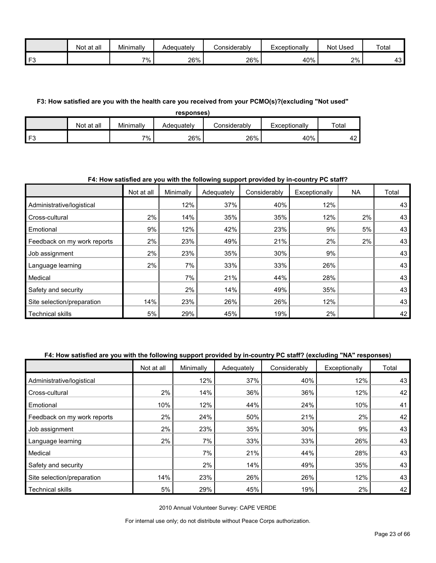|      | Not<br>∶at all | Minimally | Adeauatelv | Considerably | Exceptionally | <b>Used</b><br>Not | Total     |
|------|----------------|-----------|------------|--------------|---------------|--------------------|-----------|
| l F3 |                | 7%        | 26%        | 26%          | 40%           | 2%                 | 10.<br>⊤ບ |

#### **F3: How satisfied are you with the health care you received from your PCMO(s)?(excluding "Not used"**

| responses)     |            |           |            |                      |               |                           |  |
|----------------|------------|-----------|------------|----------------------|---------------|---------------------------|--|
|                | Not at all | Minimally | Adequately | <i>C</i> onsiderabl∨ | Exceptionally | Total                     |  |
| F <sub>3</sub> |            | 7%        | 26%        | 26%                  | 40%           | $\ddot{\phantom{1}}$<br>4 |  |

#### **F4: How satisfied are you with the following support provided by in-country PC staff?**

|                             | Not at all | Minimally | Adequately | Considerably | Exceptionally | <b>NA</b> | Total |
|-----------------------------|------------|-----------|------------|--------------|---------------|-----------|-------|
| Administrative/logistical   |            | 12%       | 37%        | 40%          | 12%           |           | 43    |
| Cross-cultural              | 2%         | 14%       | 35%        | 35%          | 12%           | 2%        | 43    |
| Emotional                   | 9%         | 12%       | 42%        | 23%          | 9%            | 5%        | 43    |
| Feedback on my work reports | 2%         | 23%       | 49%        | 21%          | 2%            | 2%        | 43    |
| Job assignment              | 2%         | 23%       | 35%        | 30%          | 9%            |           | 43    |
| Language learning           | 2%         | 7%        | 33%        | 33%          | 26%           |           | 43    |
| Medical                     |            | 7%        | 21%        | 44%          | 28%           |           | 43    |
| Safety and security         |            | $2\%$     | 14%        | 49%          | 35%           |           | 43    |
| Site selection/preparation  | 14%        | 23%       | 26%        | 26%          | 12%           |           | 43    |
| <b>Technical skills</b>     | 5%         | 29%       | 45%        | 19%          | 2%            |           | 42    |

# **F4: How satisfied are you with the following support provided by in-country PC staff? (excluding "NA" responses)**

|                             | Not at all | Minimally | Adequately | Considerably | Exceptionally | Total |
|-----------------------------|------------|-----------|------------|--------------|---------------|-------|
| Administrative/logistical   |            | 12%       | 37%        | 40%          | 12%           | 43    |
| Cross-cultural              | 2%         | 14%       | 36%        | 36%          | 12%           | 42    |
| Emotional                   | 10%        | 12%       | 44%        | 24%          | 10%           | 41    |
| Feedback on my work reports | 2%         | 24%       | 50%        | 21%          | 2%            | 42    |
| Job assignment              | 2%         | 23%       | 35%        | 30%          | 9%            | 43    |
| Language learning           | 2%         | 7%        | 33%        | 33%          | 26%           | 43    |
| Medical                     |            | 7%        | 21%        | 44%          | 28%           | 43    |
| Safety and security         |            | 2%        | 14%        | 49%          | 35%           | 43    |
| Site selection/preparation  | 14%        | 23%       | 26%        | 26%          | 12%           | 43    |
| <b>Technical skills</b>     | 5%         | 29%       | 45%        | 19%          | 2%            | 42    |

2010 Annual Volunteer Survey: CAPE VERDE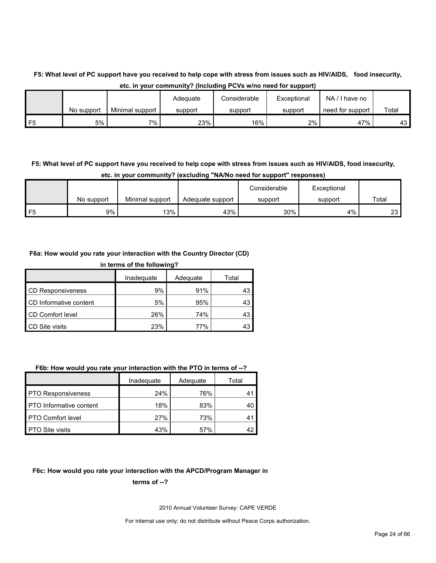# **F5: What level of PC support have you received to help cope with stress from issues such as HIV/AIDS, food insecurity, etc. in your community? (Including PCVs w/no need for support)**

|                |            |                 | Adequate | Considerable | Exceptional | NA<br>have no    |       |
|----------------|------------|-----------------|----------|--------------|-------------|------------------|-------|
|                | No support | Minimal support | support  | support      | support     | need for support | Total |
| F <sub>5</sub> | 5%         | 7%              | 23%      | 16%          | $2\%$       | 47%              | 43 I  |

# **F5: What level of PC support have you received to help cope with stress from issues such as HIV/AIDS, food insecurity, etc. in your community? (excluding "NA/No need for support" responses)**

|   |            |                 |                  | Considerable | Exceptional |       |
|---|------------|-----------------|------------------|--------------|-------------|-------|
|   | No support | Minimal support | Adequate support | support      | support     | Total |
| ᄄ | 9%         | 13%             | 43%              | 30%          | 4%          | 23    |

#### **F6a: How would you rate your interaction with the Country Director (CD)**

| in terms of the following? |            |          |       |  |  |
|----------------------------|------------|----------|-------|--|--|
|                            | Inadequate | Adequate | Total |  |  |
| <b>CD Responsiveness</b>   | 9%         | 91%      | 43    |  |  |
| CD Informative content     | 5%         | 95%      | 43    |  |  |
| CD Comfort level           | 26%        | 74%      | 43    |  |  |
| <b>CD</b> Site visits      | 23%        | 77%      |       |  |  |

#### **F6b: How would you rate your interaction with the PTO in terms of --?**

|                           | Inadequate | Adequate | Total       |
|---------------------------|------------|----------|-------------|
| <b>PTO Responsiveness</b> | 24%        | 76%      | 41          |
| PTO Informative content   | 18%        | 83%      | 40          |
| <b>PTO Comfort level</b>  | 27%        | 73%      | $4^{\circ}$ |
| <b>PTO Site visits</b>    | 43%        | 57%      |             |

#### **F6c: How would you rate your interaction with the APCD/Program Manager in**

#### **terms of --?**

2010 Annual Volunteer Survey: CAPE VERDE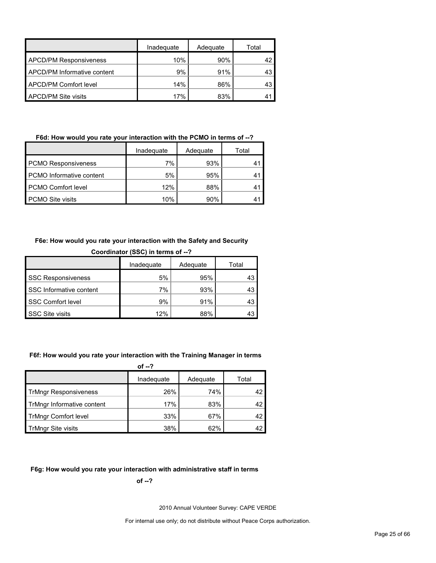|                               | Inadequate | Adequate | Total |
|-------------------------------|------------|----------|-------|
| <b>APCD/PM Responsiveness</b> | 10%        | 90%      |       |
| APCD/PM Informative content   | 9%         | 91%      | 43    |
| APCD/PM Comfort level         | 14%        | 86%      | 43    |
| <b>APCD/PM Site visits</b>    | 17%        | 83%      |       |

# **F6d: How would you rate your interaction with the PCMO in terms of --?**

|                                 | Inadeguate | Adequate | Total |
|---------------------------------|------------|----------|-------|
| <b>PCMO Responsiveness</b>      | 7%         | 93%      | 41    |
| <b>PCMO</b> Informative content | 5%         | 95%      | 41    |
| <b>PCMO Comfort level</b>       | 12%        | 88%      |       |
| PCMO Site visits                | 10%        | 90%      |       |

#### **F6e: How would you rate your interaction with the Safety and Security**

| Coordinator (SSC) in terms of --? |     |     |    |  |  |  |
|-----------------------------------|-----|-----|----|--|--|--|
| Inadequate<br>Adequate<br>Total   |     |     |    |  |  |  |
| <b>SSC Responsiveness</b>         | 5%  | 95% | 43 |  |  |  |
| SSC Informative content           | 7%  | 93% | 43 |  |  |  |
| SSC Comfort level                 | 9%  | 91% | 43 |  |  |  |
| SSC Site visits                   | 12% | 88% | 43 |  |  |  |

#### **F6f: How would you rate your interaction with the Training Manager in terms**

|                              | of $-2$    |          |       |
|------------------------------|------------|----------|-------|
|                              | Inadequate | Adequate | Total |
| <b>TrMngr Responsiveness</b> | 26%        | 74%      | 42    |
| TrMngr Informative content   | 17%        | 83%      | 42    |
| <b>TrMngr Comfort level</b>  | 33%        | 67%      | 42    |
| <b>TrMngr Site visits</b>    | 38%        | 62%      | 42    |

# **F6g: How would you rate your interaction with administrative staff in terms**

**of --?**

2010 Annual Volunteer Survey: CAPE VERDE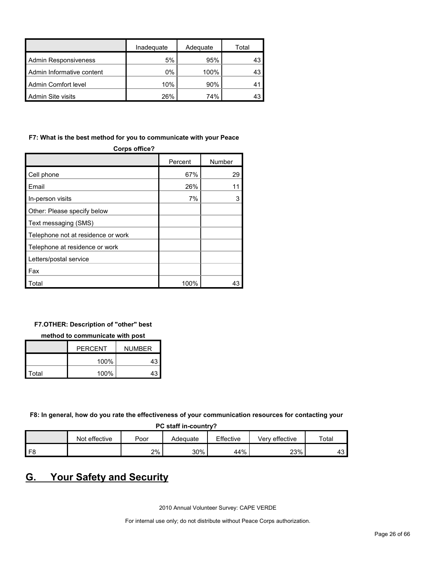|                           | Inadeguate | Adequate | Total |
|---------------------------|------------|----------|-------|
| Admin Responsiveness      | 5%         | 95%      |       |
| Admin Informative content | $0\%$      | 100%     |       |
| Admin Comfort level       | 10%        | 90%      |       |
| Admin Site visits         | 26%        | 74%      |       |

### **F7: What is the best method for you to communicate with your Peace**

| Corps office?                      |         |        |  |  |
|------------------------------------|---------|--------|--|--|
|                                    | Percent | Number |  |  |
| Cell phone                         | 67%     | 29     |  |  |
| Email                              | 26%     |        |  |  |
| In-person visits                   | 7%      | 3      |  |  |
| Other: Please specify below        |         |        |  |  |
| Text messaging (SMS)               |         |        |  |  |
| Telephone not at residence or work |         |        |  |  |
| Telephone at residence or work     |         |        |  |  |
| Letters/postal service             |         |        |  |  |
| Fax                                |         |        |  |  |
| Total                              | 100%    | 43     |  |  |

### **F7.OTHER: Description of "other" best**

#### **method to communicate with post**

|       | <b>PERCENT</b> | <b>NUMBER</b> |
|-------|----------------|---------------|
|       | 100%           | 43            |
| Total | 100%           | 43            |

**F8: In general, how do you rate the effectiveness of your communication resources for contacting your** 

| PC staff in-country? |  |
|----------------------|--|
|----------------------|--|

|                | Not effective | Poor | Adeɑuate | Effective | Very effective | Total |
|----------------|---------------|------|----------|-----------|----------------|-------|
|                |               |      |          |           |                |       |
| F <sub>8</sub> |               | 2%   | 30%      | 44%       | 23%            | 43    |

# <span id="page-25-0"></span>**G. Your Safety and Security**

2010 Annual Volunteer Survey: CAPE VERDE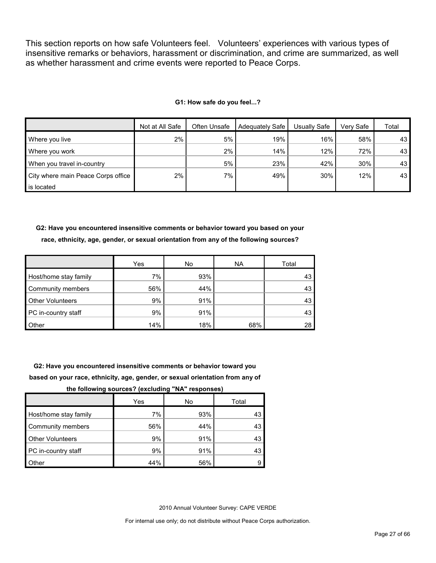This section reports on how safe Volunteers feel. Volunteers' experiences with various types of insensitive remarks or behaviors, harassment or discrimination, and crime are summarized, as well as whether harassment and crime events were reported to Peace Corps.

#### **G1: How safe do you feel...?**

|                                    | Not at All Safe | Often Unsafe | Adequately Safe | Usuallv Safe | Verv Safe | Total           |
|------------------------------------|-----------------|--------------|-----------------|--------------|-----------|-----------------|
| Where you live                     | 2%              | 5%           | 19%             | 16%          | 58%       | 43 <sup>1</sup> |
| Where you work                     |                 | $2\%$        | 14%             | 12%          | 72%       | 43              |
| When you travel in-country         |                 | 5%           | 23%             | 42%          | 30%       | 43              |
| City where main Peace Corps office | 2%              | 7%           | 49%             | 30%          | 12%       | 43              |
| is located                         |                 |              |                 |              |           |                 |

**G2: Have you encountered insensitive comments or behavior toward you based on your race, ethnicity, age, gender, or sexual orientation from any of the following sources?**

|                         | Yes | No  | <b>NA</b> | Total |
|-------------------------|-----|-----|-----------|-------|
| Host/home stay family   | 7%  | 93% |           | 43    |
| Community members       | 56% | 44% |           | 43    |
| <b>Other Volunteers</b> | 9%  | 91% |           | 43    |
| PC in-country staff     | 9%  | 91% |           | 43    |
| Other                   | 14% | 18% | 68%       | 28    |

**G2: Have you encountered insensitive comments or behavior toward you based on your race, ethnicity, age, gender, or sexual orientation from any of** 

**the following sources? (excluding "NA" responses)**

|                         | Yes | No  | Total |
|-------------------------|-----|-----|-------|
| Host/home stay family   | 7%  | 93% | 43    |
| Community members       | 56% | 44% | 43    |
| <b>Other Volunteers</b> | 9%  | 91% | 43    |
| PC in-country staff     | 9%  | 91% | 43    |
| Other                   | 44% | 56% |       |

2010 Annual Volunteer Survey: CAPE VERDE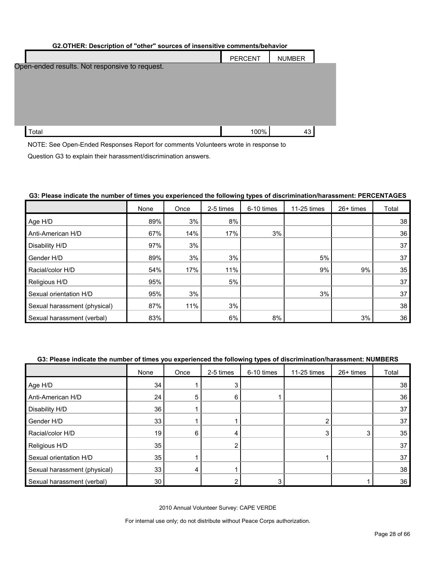#### **G2.OTHER: Description of "other" sources of insensitive comments/behavior**

|                                                | <b>PERCENT</b> | <b>NUMBER</b> |  |
|------------------------------------------------|----------------|---------------|--|
| Open-ended results. Not responsive to request. |                |               |  |
| Total                                          | 100%           | 43            |  |

NOTE: See Open-Ended Responses Report for comments Volunteers wrote in response to

Question G3 to explain their harassment/discrimination answers.

#### **G3: Please indicate the number of times you experienced the following types of discrimination/harassment: PERCENTAGES**

|                              | None | Once | 2-5 times | 6-10 times | 11-25 times | 26+ times | Total |
|------------------------------|------|------|-----------|------------|-------------|-----------|-------|
| Age H/D                      | 89%  | 3%   | 8%        |            |             |           | 38    |
| Anti-American H/D            | 67%  | 14%  | 17%       | 3%         |             |           | 36    |
| Disability H/D               | 97%  | 3%   |           |            |             |           | 37    |
| Gender H/D                   | 89%  | 3%   | 3%        |            | 5%          |           | 37    |
| Racial/color H/D             | 54%  | 17%  | 11%       |            | 9%          | 9%        | 35    |
| Religious H/D                | 95%  |      | 5%        |            |             |           | 37    |
| Sexual orientation H/D       | 95%  | 3%   |           |            | 3%          |           | 37    |
| Sexual harassment (physical) | 87%  | 11%  | 3%        |            |             |           | 38    |
| Sexual harassment (verbal)   | 83%  |      | 6%        | 8%         |             | 3%        | 36    |

#### **G3: Please indicate the number of times you experienced the following types of discrimination/harassment: NUMBERS**

|                              | None            | Once | 2-5 times | 6-10 times | 11-25 times | 26+ times | Total |
|------------------------------|-----------------|------|-----------|------------|-------------|-----------|-------|
| Age H/D                      | 34              |      |           |            |             |           | 38    |
| Anti-American H/D            | 24              | 5    | 6         |            |             |           | 36    |
| Disability H/D               | 36              |      |           |            |             |           | 37    |
| Gender H/D                   | 33              |      |           |            | ◠           |           | 37    |
| Racial/color H/D             | 19              | 6    |           |            | 3           | 3         | 35    |
| Religious H/D                | 35              |      |           |            |             |           | 37    |
| Sexual orientation H/D       | 35              |      |           |            |             |           | 37    |
| Sexual harassment (physical) | 33              | 4    |           |            |             |           | 38    |
| Sexual harassment (verbal)   | 30 <sup>°</sup> |      |           |            |             |           | 36    |

2010 Annual Volunteer Survey: CAPE VERDE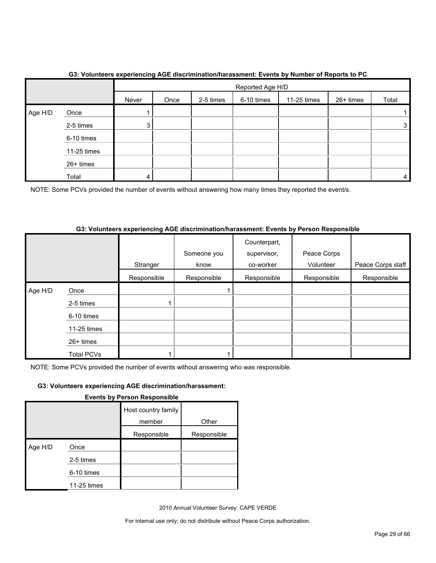|         |             | $\overline{\phantom{a}}$ | Reported Age H/D |             |           |       |  |   |
|---------|-------------|--------------------------|------------------|-------------|-----------|-------|--|---|
|         |             | Never                    | Once             | 11-25 times | 26+ times | Total |  |   |
| Age H/D | Once        |                          |                  |             |           |       |  |   |
|         | 2-5 times   | 3 <sub>l</sub>           |                  |             |           |       |  | 3 |
|         | 6-10 times  |                          |                  |             |           |       |  |   |
|         | 11-25 times |                          |                  |             |           |       |  |   |
|         | 26+ times   |                          |                  |             |           |       |  |   |
|         | Total       | 4                        |                  |             |           |       |  | 4 |

# **G3: Volunteers experiencing AGE discrimination/harassment: Events by Number of Reports to PC**

NOTE: Some PCVs provided the number of events without answering how many times they reported the event/s.

# **G3: Volunteers experiencing AGE discrimination/harassment: Events by Person Responsible**

|         |                   |             | Someone you | Counterpart,<br>supervisor, | Peace Corps |                   |
|---------|-------------------|-------------|-------------|-----------------------------|-------------|-------------------|
|         |                   | Stranger    | know        | co-worker                   | Volunteer   | Peace Corps staff |
|         |                   | Responsible | Responsible | Responsible                 | Responsible | Responsible       |
| Age H/D | Once              |             |             |                             |             |                   |
|         | 2-5 times         |             |             |                             |             |                   |
|         | 6-10 times        |             |             |                             |             |                   |
|         | 11-25 times       |             |             |                             |             |                   |
|         | 26+ times         |             |             |                             |             |                   |
|         | <b>Total PCVs</b> |             |             |                             |             |                   |

NOTE: Some PCVs provided the number of events without answering who was responsible.

# **G3: Volunteers experiencing AGE discrimination/harassment:**

|  |  | <b>Events by Person Responsible</b> |  |
|--|--|-------------------------------------|--|
|  |  |                                     |  |
|  |  |                                     |  |

|         |             | Host country family<br>member | Other       |
|---------|-------------|-------------------------------|-------------|
|         |             |                               |             |
|         |             | Responsible                   | Responsible |
| Age H/D | Once        |                               |             |
|         | 2-5 times   |                               |             |
|         | 6-10 times  |                               |             |
|         | 11-25 times |                               |             |

2010 Annual Volunteer Survey: CAPE VERDE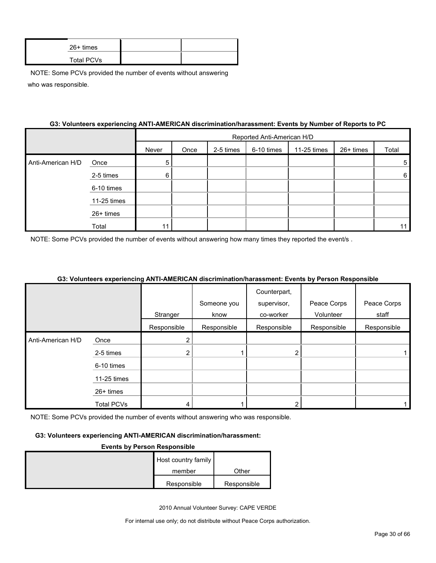| $26+$ times |  |
|-------------|--|
| Total PCVs  |  |

#### **G3: Volunteers experiencing ANTI-AMERICAN discrimination/harassment: Events by Number of Reports to PC**

|                   |             |       | Reported Anti-American H/D |           |            |             |           |       |  |
|-------------------|-------------|-------|----------------------------|-----------|------------|-------------|-----------|-------|--|
|                   |             | Never | Once                       | 2-5 times | 6-10 times | 11-25 times | 26+ times | Total |  |
| Anti-American H/D | Once        | 5     |                            |           |            |             |           | 5     |  |
|                   | 2-5 times   | 6     |                            |           |            |             |           | 6     |  |
|                   | 6-10 times  |       |                            |           |            |             |           |       |  |
|                   | 11-25 times |       |                            |           |            |             |           |       |  |
|                   | 26+ times   |       |                            |           |            |             |           |       |  |
|                   | Total       | 11    |                            |           |            |             |           | 11    |  |

NOTE: Some PCVs provided the number of events without answering how many times they reported the event/s.

#### **G3: Volunteers experiencing ANTI-AMERICAN discrimination/harassment: Events by Person Responsible**

|                   |                   |               |             | Counterpart, |             |             |
|-------------------|-------------------|---------------|-------------|--------------|-------------|-------------|
|                   |                   |               | Someone you | supervisor,  | Peace Corps | Peace Corps |
|                   |                   | Stranger      | know        | co-worker    | Volunteer   | staff       |
|                   |                   | Responsible   | Responsible | Responsible  | Responsible | Responsible |
| Anti-American H/D | Once              | $\mathcal{P}$ |             |              |             |             |
|                   | 2-5 times         | 2             |             |              |             |             |
|                   | 6-10 times        |               |             |              |             |             |
|                   | 11-25 times       |               |             |              |             |             |
|                   | 26+ times         |               |             |              |             |             |
|                   | <b>Total PCVs</b> | 4             |             |              |             |             |

NOTE: Some PCVs provided the number of events without answering who was responsible.

#### **G3: Volunteers experiencing ANTI-AMERICAN discrimination/harassment:**

#### **Events by Person Responsible**

| Host country family |             |
|---------------------|-------------|
| member              | Other       |
| Responsible         | Responsible |

2010 Annual Volunteer Survey: CAPE VERDE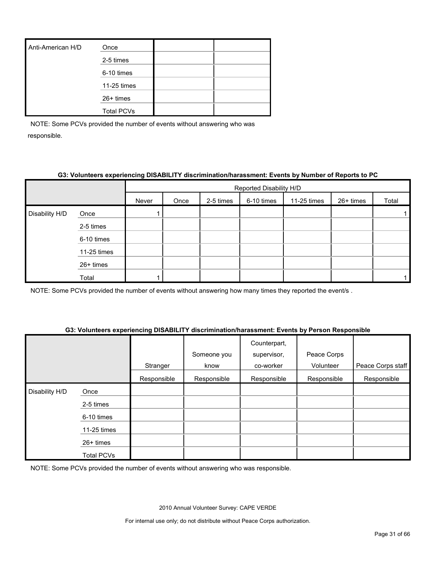| Anti-American H/D | Once              |  |
|-------------------|-------------------|--|
|                   | 2-5 times         |  |
|                   | 6-10 times        |  |
|                   | 11-25 times       |  |
|                   | 26+ times         |  |
|                   | <b>Total PCVs</b> |  |

#### **G3: Volunteers experiencing DISABILITY discrimination/harassment: Events by Number of Reports to PC**

|                |             |       | Reported Disability H/D |           |            |             |           |       |  |
|----------------|-------------|-------|-------------------------|-----------|------------|-------------|-----------|-------|--|
|                |             | Never | Once                    | 2-5 times | 6-10 times | 11-25 times | 26+ times | Total |  |
| Disability H/D | Once        |       |                         |           |            |             |           |       |  |
|                | 2-5 times   |       |                         |           |            |             |           |       |  |
|                | 6-10 times  |       |                         |           |            |             |           |       |  |
|                | 11-25 times |       |                         |           |            |             |           |       |  |
|                | 26+ times   |       |                         |           |            |             |           |       |  |
|                | Total       |       |                         |           |            |             |           |       |  |

NOTE: Some PCVs provided the number of events without answering how many times they reported the event/s .

#### **G3: Volunteers experiencing DISABILITY discrimination/harassment: Events by Person Responsible**

|                |                   | Stranger    | Someone you<br>know | Counterpart,<br>supervisor,<br>co-worker | Peace Corps<br>Volunteer | Peace Corps staff |
|----------------|-------------------|-------------|---------------------|------------------------------------------|--------------------------|-------------------|
|                |                   | Responsible | Responsible         | Responsible                              | Responsible              | Responsible       |
| Disability H/D | Once              |             |                     |                                          |                          |                   |
|                | 2-5 times         |             |                     |                                          |                          |                   |
|                | 6-10 times        |             |                     |                                          |                          |                   |
|                | 11-25 times       |             |                     |                                          |                          |                   |
|                | 26+ times         |             |                     |                                          |                          |                   |
|                | <b>Total PCVs</b> |             |                     |                                          |                          |                   |

NOTE: Some PCVs provided the number of events without answering who was responsible.

2010 Annual Volunteer Survey: CAPE VERDE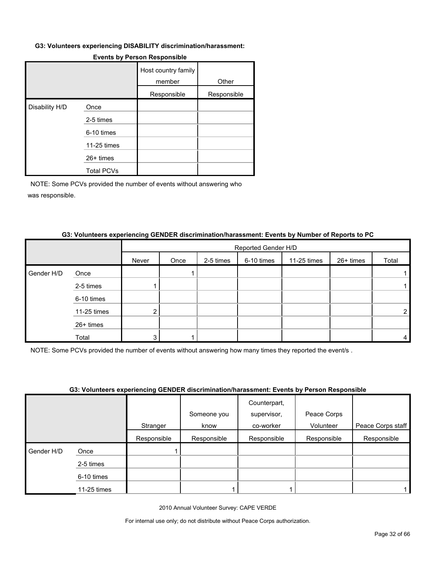#### **G3: Volunteers experiencing DISABILITY discrimination/harassment:**

|                |                   | Host country family<br>member | Other       |
|----------------|-------------------|-------------------------------|-------------|
|                |                   | Responsible                   | Responsible |
| Disability H/D | Once              |                               |             |
|                | 2-5 times         |                               |             |
|                | 6-10 times        |                               |             |
|                | 11-25 times       |                               |             |
|                | $26+$ times       |                               |             |
|                | <b>Total PCVs</b> |                               |             |

#### **Events by Person Responsible**

NOTE: Some PCVs provided the number of events without answering who was responsible.

# Reported Gender H/D Never | Once | 2-5 times | 6-10 times | 11-25 times | 26+ times | Total Gender H/D Once | | | 1| | | | | | | | 1 2-5 times 1 1 6-10 times 11-25 times 2 2 26+ times Total 3 1 4

#### **G3: Volunteers experiencing GENDER discrimination/harassment: Events by Number of Reports to PC**

NOTE: Some PCVs provided the number of events without answering how many times they reported the event/s .

#### **G3: Volunteers experiencing GENDER discrimination/harassment: Events by Person Responsible**

|            |             |             | over common a approximating officers algorithmation indication in Fronto by Existent Responsibility |                                          |                          |                   |
|------------|-------------|-------------|-----------------------------------------------------------------------------------------------------|------------------------------------------|--------------------------|-------------------|
|            |             | Stranger    | Someone you<br>know                                                                                 | Counterpart,<br>supervisor,<br>co-worker | Peace Corps<br>Volunteer | Peace Corps staff |
|            |             | Responsible | Responsible                                                                                         | Responsible                              | Responsible              | Responsible       |
| Gender H/D | Once        |             |                                                                                                     |                                          |                          |                   |
|            | 2-5 times   |             |                                                                                                     |                                          |                          |                   |
|            | 6-10 times  |             |                                                                                                     |                                          |                          |                   |
|            | 11-25 times |             |                                                                                                     |                                          |                          |                   |

2010 Annual Volunteer Survey: CAPE VERDE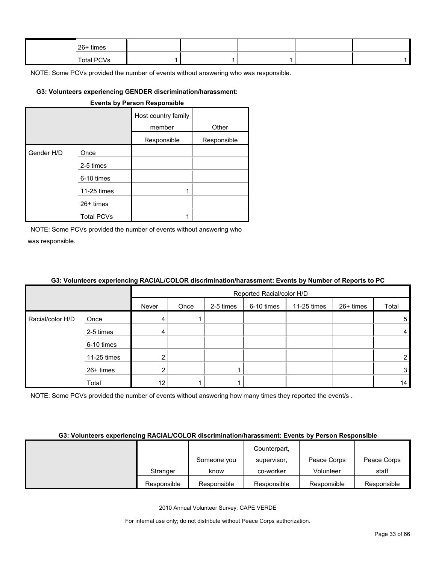| 26+ times  |  |  |  |
|------------|--|--|--|
| Total PCVs |  |  |  |

#### **G3: Volunteers experiencing GENDER discrimination/harassment:**

|            |                   | <b>Events by Person Responsible</b> |             |
|------------|-------------------|-------------------------------------|-------------|
|            |                   | Host country family<br>member       | Other       |
|            |                   | Responsible                         | Responsible |
| Gender H/D | Once              |                                     |             |
|            | 2-5 times         |                                     |             |
|            | 6-10 times        |                                     |             |
|            | 11-25 times       | 1                                   |             |
|            | $26+$ times       |                                     |             |
|            | <b>Total PCVs</b> |                                     |             |

NOTE: Some PCVs provided the number of events without answering who was responsible.

#### **G3: Volunteers experiencing RACIAL/COLOR discrimination/harassment: Events by Number of Reports to PC**

|                  |             |       | Reported Racial/color H/D |           |            |             |           |       |  |
|------------------|-------------|-------|---------------------------|-----------|------------|-------------|-----------|-------|--|
|                  |             | Never | Once                      | 2-5 times | 6-10 times | 11-25 times | 26+ times | Total |  |
| Racial/color H/D | Once        |       |                           |           |            |             |           | 5     |  |
|                  | 2-5 times   | 4     |                           |           |            |             |           | 4     |  |
|                  | 6-10 times  |       |                           |           |            |             |           |       |  |
|                  | 11-25 times |       |                           |           |            |             |           | 2     |  |
|                  | 26+ times   |       |                           |           |            |             |           | 3     |  |
|                  | Total       | 12    |                           |           |            |             |           | 14    |  |

NOTE: Some PCVs provided the number of events without answering how many times they reported the event/s.

#### **G3: Volunteers experiencing RACIAL/COLOR discrimination/harassment: Events by Person Responsible**

|             |             | Counterpart, |             |             |
|-------------|-------------|--------------|-------------|-------------|
|             | Someone you | supervisor,  | Peace Corps | Peace Corps |
| Stranger    | know        | co-worker    | Volunteer   | staff       |
| Responsible | Responsible | Responsible  | Responsible | Responsible |

2010 Annual Volunteer Survey: CAPE VERDE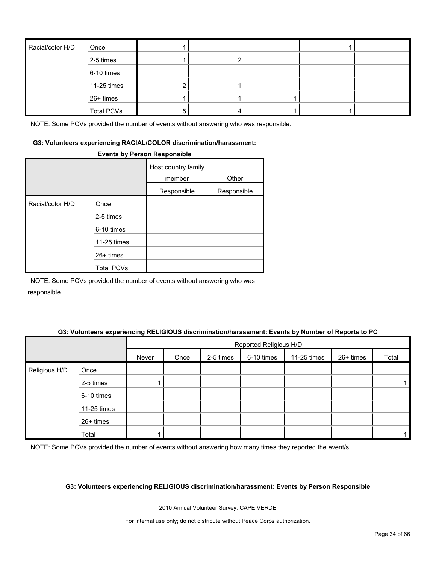| Racial/color H/D | Once              |  |  |  |
|------------------|-------------------|--|--|--|
|                  | 2-5 times         |  |  |  |
|                  | 6-10 times        |  |  |  |
|                  | 11-25 times       |  |  |  |
|                  | 26+ times         |  |  |  |
|                  | <b>Total PCVs</b> |  |  |  |

#### **G3: Volunteers experiencing RACIAL/COLOR discrimination/harassment:**

#### **Events by Person Responsible**

|                  |                   | Host country family<br>member | Other       |
|------------------|-------------------|-------------------------------|-------------|
|                  |                   | Responsible                   | Responsible |
| Racial/color H/D | Once              |                               |             |
|                  | 2-5 times         |                               |             |
|                  | 6-10 times        |                               |             |
|                  | 11-25 times       |                               |             |
|                  | $26+$ times       |                               |             |
|                  | <b>Total PCVs</b> |                               |             |

NOTE: Some PCVs provided the number of events without answering who was responsible.

#### **G3: Volunteers experiencing RELIGIOUS discrimination/harassment: Events by Number of Reports to PC**

|               |             |       | Reported Religious H/D |           |            |             |           |       |  |
|---------------|-------------|-------|------------------------|-----------|------------|-------------|-----------|-------|--|
|               |             | Never | Once                   | 2-5 times | 6-10 times | 11-25 times | 26+ times | Total |  |
| Religious H/D | Once        |       |                        |           |            |             |           |       |  |
|               | 2-5 times   |       |                        |           |            |             |           |       |  |
|               | 6-10 times  |       |                        |           |            |             |           |       |  |
|               | 11-25 times |       |                        |           |            |             |           |       |  |
|               | 26+ times   |       |                        |           |            |             |           |       |  |
|               | Total       |       |                        |           |            |             |           |       |  |

NOTE: Some PCVs provided the number of events without answering how many times they reported the event/s.

#### **G3: Volunteers experiencing RELIGIOUS discrimination/harassment: Events by Person Responsible**

2010 Annual Volunteer Survey: CAPE VERDE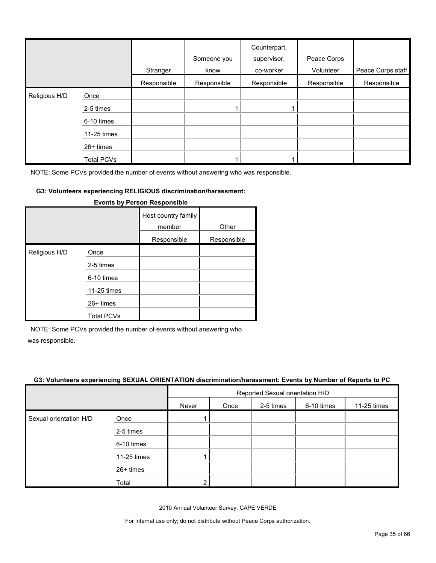|               |                   | Stranger    | Someone you<br>know | Counterpart,<br>supervisor,<br>co-worker | Peace Corps<br>Volunteer | Peace Corps staff |
|---------------|-------------------|-------------|---------------------|------------------------------------------|--------------------------|-------------------|
|               |                   | Responsible | Responsible         | Responsible                              | Responsible              | Responsible       |
| Religious H/D | Once              |             |                     |                                          |                          |                   |
|               | 2-5 times         |             |                     |                                          |                          |                   |
|               | 6-10 times        |             |                     |                                          |                          |                   |
|               | 11-25 times       |             |                     |                                          |                          |                   |
|               | 26+ times         |             |                     |                                          |                          |                   |
|               | <b>Total PCVs</b> |             |                     |                                          |                          |                   |

#### **G3: Volunteers experiencing RELIGIOUS discrimination/harassment:**

|               |                   | Host country family<br>member | Other       |
|---------------|-------------------|-------------------------------|-------------|
|               |                   | Responsible                   | Responsible |
| Religious H/D | Once              |                               |             |
|               | 2-5 times         |                               |             |
|               | 6-10 times        |                               |             |
|               | 11-25 times       |                               |             |
|               | 26+ times         |                               |             |
|               | <b>Total PCVs</b> |                               |             |

#### **Events by Person Responsible**

NOTE: Some PCVs provided the number of events without answering who

was responsible.

#### **G3: Volunteers experiencing SEXUAL ORIENTATION discrimination/harassment: Events by Number of Reports to PC**

|                        |             | Reported Sexual orientation H/D |                                                |  |  |  |  |  |  |  |
|------------------------|-------------|---------------------------------|------------------------------------------------|--|--|--|--|--|--|--|
|                        |             | Never                           | 2-5 times<br>6-10 times<br>11-25 times<br>Once |  |  |  |  |  |  |  |
| Sexual orientation H/D | Once        |                                 |                                                |  |  |  |  |  |  |  |
|                        | 2-5 times   |                                 |                                                |  |  |  |  |  |  |  |
|                        | 6-10 times  |                                 |                                                |  |  |  |  |  |  |  |
|                        | 11-25 times |                                 |                                                |  |  |  |  |  |  |  |
|                        | 26+ times   |                                 |                                                |  |  |  |  |  |  |  |
|                        | Total       | ົ                               |                                                |  |  |  |  |  |  |  |

2010 Annual Volunteer Survey: CAPE VERDE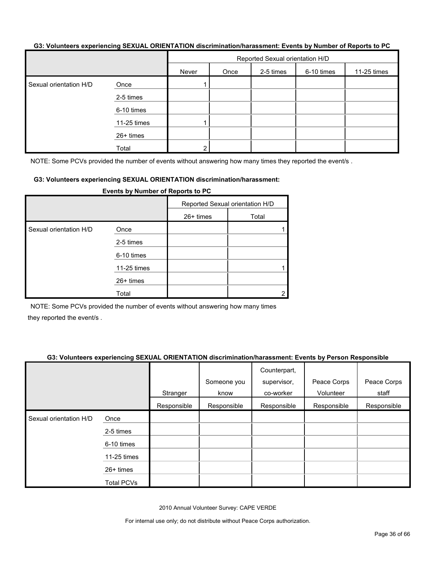#### **G3: Volunteers experiencing SEXUAL ORIENTATION discrimination/harassment: Events by Number of Reports to PC**

|                        |             | Reported Sexual orientation H/D |      |           |            |             |  |
|------------------------|-------------|---------------------------------|------|-----------|------------|-------------|--|
|                        |             | Never                           | Once | 2-5 times | 6-10 times | 11-25 times |  |
| Sexual orientation H/D | Once        |                                 |      |           |            |             |  |
|                        | 2-5 times   |                                 |      |           |            |             |  |
|                        | 6-10 times  |                                 |      |           |            |             |  |
|                        | 11-25 times |                                 |      |           |            |             |  |
|                        | 26+ times   |                                 |      |           |            |             |  |
|                        | Total       | ົ                               |      |           |            |             |  |

NOTE: Some PCVs provided the number of events without answering how many times they reported the event/s.

#### **G3: Volunteers experiencing SEXUAL ORIENTATION discrimination/harassment:**

|                        | . . <u>.</u> |                                 |       |  |
|------------------------|--------------|---------------------------------|-------|--|
|                        |              | Reported Sexual orientation H/D |       |  |
|                        |              | 26+ times                       | Total |  |
| Sexual orientation H/D | Once         |                                 |       |  |
|                        | 2-5 times    |                                 |       |  |
|                        | 6-10 times   |                                 |       |  |
|                        | 11-25 times  |                                 |       |  |
|                        | 26+ times    |                                 |       |  |
|                        | Total        |                                 |       |  |

**Events by Number of Reports to PC**

NOTE: Some PCVs provided the number of events without answering how many times they reported the event/s .

#### **G3: Volunteers experiencing SEXUAL ORIENTATION discrimination/harassment: Events by Person Responsible**

|                        |                   | Stranger    | Someone you<br>know | Counterpart,<br>supervisor,<br>co-worker | Peace Corps<br>Volunteer | Peace Corps<br>staff |
|------------------------|-------------------|-------------|---------------------|------------------------------------------|--------------------------|----------------------|
|                        |                   | Responsible | Responsible         | Responsible                              | Responsible              | Responsible          |
| Sexual orientation H/D | Once              |             |                     |                                          |                          |                      |
|                        | 2-5 times         |             |                     |                                          |                          |                      |
|                        | 6-10 times        |             |                     |                                          |                          |                      |
|                        | 11-25 times       |             |                     |                                          |                          |                      |
|                        | $26+$ times       |             |                     |                                          |                          |                      |
|                        | <b>Total PCVs</b> |             |                     |                                          |                          |                      |

2010 Annual Volunteer Survey: CAPE VERDE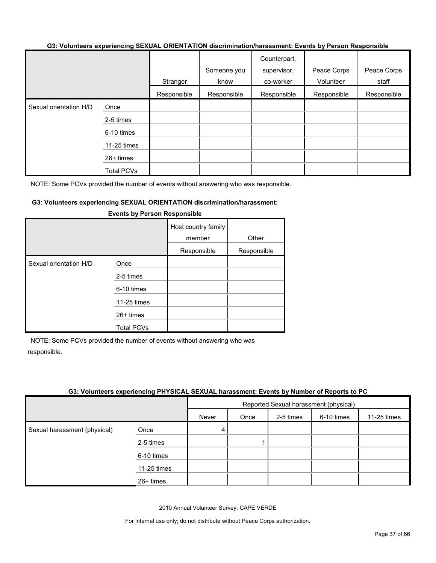#### **G3: Volunteers experiencing SEXUAL ORIENTATION discrimination/harassment: Events by Person Responsible**

|                        |                   |             | Someone you | Counterpart,<br>supervisor, | Peace Corps | Peace Corps |
|------------------------|-------------------|-------------|-------------|-----------------------------|-------------|-------------|
|                        |                   | Stranger    | know        | co-worker                   | Volunteer   | staff       |
|                        |                   | Responsible | Responsible | Responsible                 | Responsible | Responsible |
| Sexual orientation H/D | Once              |             |             |                             |             |             |
|                        | 2-5 times         |             |             |                             |             |             |
|                        | 6-10 times        |             |             |                             |             |             |
|                        | 11-25 times       |             |             |                             |             |             |
|                        | 26+ times         |             |             |                             |             |             |
|                        | <b>Total PCVs</b> |             |             |                             |             |             |

NOTE: Some PCVs provided the number of events without answering who was responsible.

#### **G3: Volunteers experiencing SEXUAL ORIENTATION discrimination/harassment:**

|                        |                   | Host country family<br>member<br>Responsible | Other<br>Responsible |
|------------------------|-------------------|----------------------------------------------|----------------------|
| Sexual orientation H/D | Once              |                                              |                      |
|                        | 2-5 times         |                                              |                      |
|                        | 6-10 times        |                                              |                      |
|                        | 11-25 times       |                                              |                      |
|                        | $26+$ times       |                                              |                      |
|                        | <b>Total PCVs</b> |                                              |                      |

#### **Events by Person Responsible**

NOTE: Some PCVs provided the number of events without answering who was responsible.

#### **G3: Volunteers experiencing PHYSICAL SEXUAL harassment: Events by Number of Reports to PC**

|                              |             |       | Reported Sexual harassment (physical) |           |            |             |  |
|------------------------------|-------------|-------|---------------------------------------|-----------|------------|-------------|--|
|                              |             | Never | Once                                  | 2-5 times | 6-10 times | 11-25 times |  |
| Sexual harassment (physical) | Once        | 4     |                                       |           |            |             |  |
|                              | 2-5 times   |       |                                       |           |            |             |  |
|                              | 6-10 times  |       |                                       |           |            |             |  |
|                              | 11-25 times |       |                                       |           |            |             |  |
|                              | $26+$ times |       |                                       |           |            |             |  |

2010 Annual Volunteer Survey: CAPE VERDE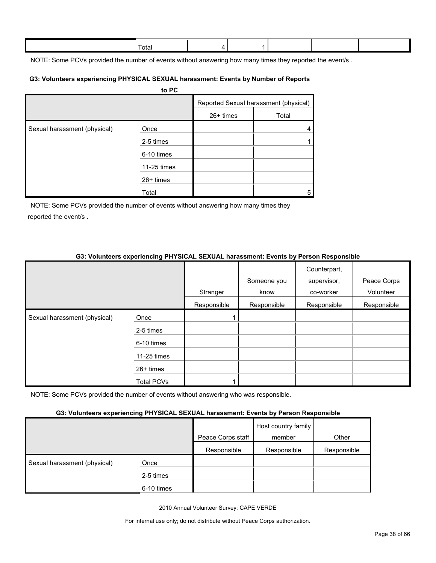| ⊺ota |  |  |  |
|------|--|--|--|
|      |  |  |  |

NOTE: Some PCVs provided the number of events without answering how many times they reported the event/s.

#### **G3: Volunteers experiencing PHYSICAL SEXUAL harassment: Events by Number of Reports**

|                              | to PC       |           |                                       |
|------------------------------|-------------|-----------|---------------------------------------|
|                              |             |           | Reported Sexual harassment (physical) |
|                              |             | 26+ times | Total                                 |
| Sexual harassment (physical) | Once        |           | 4                                     |
|                              | 2-5 times   |           |                                       |
|                              | 6-10 times  |           |                                       |
|                              | 11-25 times |           |                                       |
|                              | 26+ times   |           |                                       |
|                              | Total       |           | 5                                     |

NOTE: Some PCVs provided the number of events without answering how many times they reported the event/s .

### **G3: Volunteers experiencing PHYSICAL SEXUAL harassment: Events by Person Responsible**

|                              |             |             | Someone you | Counterpart,<br>supervisor, | Peace Corps |
|------------------------------|-------------|-------------|-------------|-----------------------------|-------------|
|                              |             | Stranger    | know        | co-worker                   | Volunteer   |
|                              |             | Responsible | Responsible | Responsible                 | Responsible |
| Sexual harassment (physical) | Once        |             |             |                             |             |
|                              | 2-5 times   |             |             |                             |             |
|                              | 6-10 times  |             |             |                             |             |
|                              | 11-25 times |             |             |                             |             |
|                              | 26+ times   |             |             |                             |             |
|                              | Total PCVs  |             |             |                             |             |

NOTE: Some PCVs provided the number of events without answering who was responsible.

#### **G3: Volunteers experiencing PHYSICAL SEXUAL harassment: Events by Person Responsible**

|                              |            | Peace Corps staff | Host country family<br>member | Other       |
|------------------------------|------------|-------------------|-------------------------------|-------------|
|                              |            | Responsible       | Responsible                   | Responsible |
| Sexual harassment (physical) | Once       |                   |                               |             |
|                              | 2-5 times  |                   |                               |             |
|                              | 6-10 times |                   |                               |             |

2010 Annual Volunteer Survey: CAPE VERDE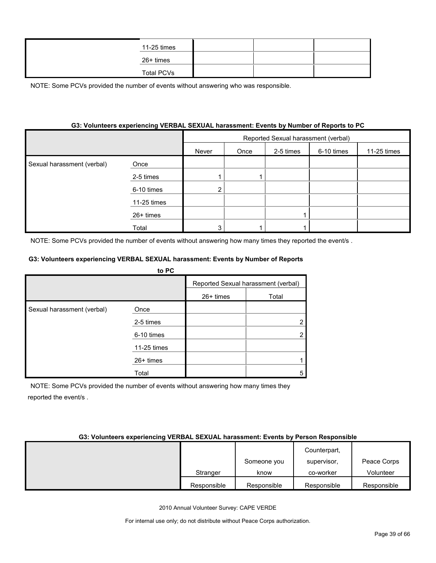| 11-25 times |  |  |
|-------------|--|--|
| 26+ times   |  |  |
| Total PCVs  |  |  |

#### **G3: Volunteers experiencing VERBAL SEXUAL harassment: Events by Number of Reports to PC**

|                            |             | Reported Sexual harassment (verbal) |      |           |            |             |
|----------------------------|-------------|-------------------------------------|------|-----------|------------|-------------|
|                            |             | Never                               | Once | 2-5 times | 6-10 times | 11-25 times |
| Sexual harassment (verbal) | Once        |                                     |      |           |            |             |
|                            | 2-5 times   |                                     |      |           |            |             |
|                            | 6-10 times  | ◠                                   |      |           |            |             |
|                            | 11-25 times |                                     |      |           |            |             |
|                            | 26+ times   |                                     |      |           |            |             |
|                            | Total       | ົ                                   |      |           |            |             |

NOTE: Some PCVs provided the number of events without answering how many times they reported the event/s .

#### **G3: Volunteers experiencing VERBAL SEXUAL harassment: Events by Number of Reports**

|                            | to PC       |                                     |       |
|----------------------------|-------------|-------------------------------------|-------|
|                            |             | Reported Sexual harassment (verbal) |       |
|                            |             | $26+$ times                         | Total |
| Sexual harassment (verbal) | Once        |                                     |       |
|                            | 2-5 times   |                                     |       |
|                            | 6-10 times  |                                     |       |
|                            | 11-25 times |                                     |       |
|                            | 26+ times   |                                     |       |
|                            | Total       |                                     | 5     |

NOTE: Some PCVs provided the number of events without answering how many times they reported the event/s .

#### **G3: Volunteers experiencing VERBAL SEXUAL harassment: Events by Person Responsible**

|             |             | Counterpart, |             |
|-------------|-------------|--------------|-------------|
|             | Someone you | supervisor,  | Peace Corps |
| Stranger    | know        | co-worker    | Volunteer   |
| Responsible | Responsible | Responsible  | Responsible |

2010 Annual Volunteer Survey: CAPE VERDE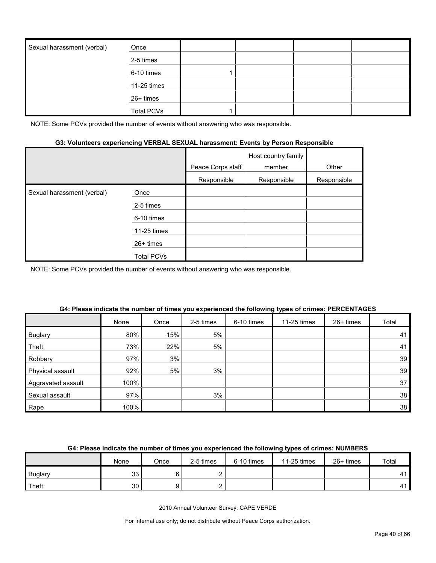| Sexual harassment (verbal) | Once              |  |  |
|----------------------------|-------------------|--|--|
|                            | 2-5 times         |  |  |
|                            | 6-10 times        |  |  |
|                            | 11-25 times       |  |  |
|                            | 26+ times         |  |  |
|                            | <b>Total PCVs</b> |  |  |

#### **G3: Volunteers experiencing VERBAL SEXUAL harassment: Events by Person Responsible**

|                            |                   | Peace Corps staff | Host country family<br>member | Other       |
|----------------------------|-------------------|-------------------|-------------------------------|-------------|
|                            |                   | Responsible       | Responsible                   | Responsible |
| Sexual harassment (verbal) | Once              |                   |                               |             |
|                            | 2-5 times         |                   |                               |             |
|                            | 6-10 times        |                   |                               |             |
|                            | 11-25 times       |                   |                               |             |
|                            | $26+$ times       |                   |                               |             |
|                            | <b>Total PCVs</b> |                   |                               |             |

NOTE: Some PCVs provided the number of events without answering who was responsible.

|                    | None | Once | 2-5 times | 6-10 times | 11-25 times | 26+ times | Total |
|--------------------|------|------|-----------|------------|-------------|-----------|-------|
| <b>Buglary</b>     | 80%  | 15%  | 5%        |            |             |           | 41'   |
| Theft              | 73%  | 22%  | 5%        |            |             |           | 41    |
| Robbery            | 97%  | 3%   |           |            |             |           | 39    |
| Physical assault   | 92%  | 5%   | 3%        |            |             |           | 39    |
| Aggravated assault | 100% |      |           |            |             |           | 37    |
| Sexual assault     | 97%  |      | 3%        |            |             |           | 38    |
| Rape               | 100% |      |           |            |             |           | 38    |

#### **G4: Please indicate the number of times you experienced the following types of crimes: PERCENTAGES**

#### **G4: Please indicate the number of times you experienced the following types of crimes: NUMBERS**

|                | None    | Once | 2-5 times | 6-10 times | 11-25 times | 26+ times | Total |
|----------------|---------|------|-----------|------------|-------------|-----------|-------|
| <b>Buglary</b> | ົ<br>ںں |      |           |            |             |           | 44    |
| Theft          | 30      |      |           |            |             |           | 41    |

2010 Annual Volunteer Survey: CAPE VERDE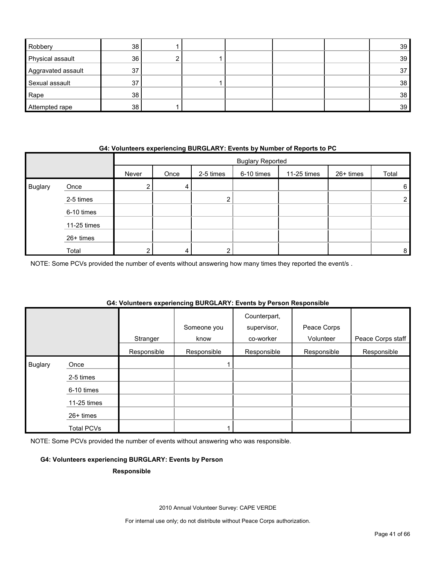| Robbery            | 38 |  |  | 39 <sup>1</sup> |
|--------------------|----|--|--|-----------------|
| Physical assault   | 36 |  |  | 39              |
| Aggravated assault | 37 |  |  | 37              |
| Sexual assault     | 37 |  |  | 38              |
| Rape               | 38 |  |  | 38              |
| Attempted rape     | 38 |  |  | 39              |

#### **G4: Volunteers experiencing BURGLARY: Events by Number of Reports to PC**

|                |             |       | <b>Buglary Reported</b> |           |            |             |           |       |
|----------------|-------------|-------|-------------------------|-----------|------------|-------------|-----------|-------|
|                |             | Never | Once                    | 2-5 times | 6-10 times | 11-25 times | 26+ times | Total |
| <b>Buglary</b> | Once        |       | 4                       |           |            |             |           | 6     |
|                | 2-5 times   |       |                         | ົ         |            |             |           |       |
|                | 6-10 times  |       |                         |           |            |             |           |       |
|                | 11-25 times |       |                         |           |            |             |           |       |
|                | 26+ times   |       |                         |           |            |             |           |       |
|                | Total       |       | 4                       | ົ         |            |             |           | 8     |

NOTE: Some PCVs provided the number of events without answering how many times they reported the event/s .

# **G4: Volunteers experiencing BURGLARY: Events by Person Responsible**

|                |                   | Stranger    | Someone you<br>know | Counterpart,<br>supervisor,<br>co-worker | Peace Corps<br>Volunteer | Peace Corps staff |
|----------------|-------------------|-------------|---------------------|------------------------------------------|--------------------------|-------------------|
|                |                   | Responsible | Responsible         | Responsible                              | Responsible              | Responsible       |
| <b>Buglary</b> | Once              |             |                     |                                          |                          |                   |
|                | 2-5 times         |             |                     |                                          |                          |                   |
|                | 6-10 times        |             |                     |                                          |                          |                   |
|                | 11-25 times       |             |                     |                                          |                          |                   |
|                | 26+ times         |             |                     |                                          |                          |                   |
|                | <b>Total PCVs</b> |             |                     |                                          |                          |                   |

NOTE: Some PCVs provided the number of events without answering who was responsible.

#### **G4: Volunteers experiencing BURGLARY: Events by Person**

#### **Responsible**

2010 Annual Volunteer Survey: CAPE VERDE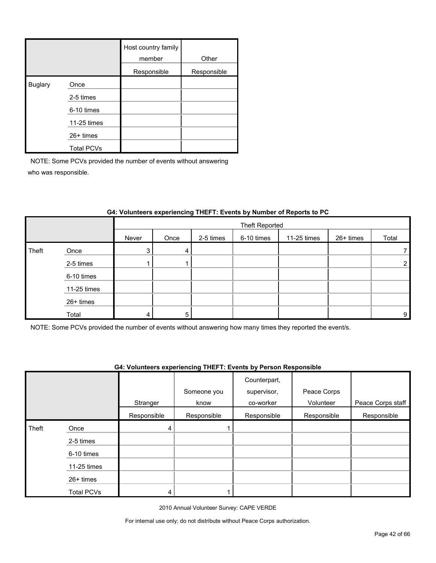|                |                   | Host country family<br>member | Other       |
|----------------|-------------------|-------------------------------|-------------|
|                |                   | Responsible                   | Responsible |
| <b>Buglary</b> | Once              |                               |             |
|                | 2-5 times         |                               |             |
|                | 6-10 times        |                               |             |
|                | 11-25 times       |                               |             |
|                | $26+$ times       |                               |             |
|                | <b>Total PCVs</b> |                               |             |

|       |             |       | Theft Reported |           |            |             |           |                |
|-------|-------------|-------|----------------|-----------|------------|-------------|-----------|----------------|
|       |             | Never | Once           | 2-5 times | 6-10 times | 11-25 times | 26+ times | Total          |
| Theft | Once        |       | 4              |           |            |             |           |                |
|       | 2-5 times   |       |                |           |            |             |           | $\overline{2}$ |
|       | 6-10 times  |       |                |           |            |             |           |                |
|       | 11-25 times |       |                |           |            |             |           |                |
|       | 26+ times   |       |                |           |            |             |           |                |
|       | Total       |       | 5              |           |            |             |           | 9              |

### **G4: Volunteers experiencing THEFT: Events by Number of Reports to PC**

NOTE: Some PCVs provided the number of events without answering how many times they reported the event/s.

#### **G4: Volunteers experiencing THEFT: Events by Person Responsible**

|       |                   |             | Someone you | Counterpart,<br>supervisor, | Peace Corps |                   |
|-------|-------------------|-------------|-------------|-----------------------------|-------------|-------------------|
|       |                   | Stranger    | know        | co-worker                   | Volunteer   | Peace Corps staff |
|       |                   | Responsible | Responsible | Responsible                 | Responsible | Responsible       |
| Theft | Once              | 4           |             |                             |             |                   |
|       | 2-5 times         |             |             |                             |             |                   |
|       | 6-10 times        |             |             |                             |             |                   |
|       | 11-25 times       |             |             |                             |             |                   |
|       | 26+ times         |             |             |                             |             |                   |
|       | <b>Total PCVs</b> | 4           |             |                             |             |                   |

2010 Annual Volunteer Survey: CAPE VERDE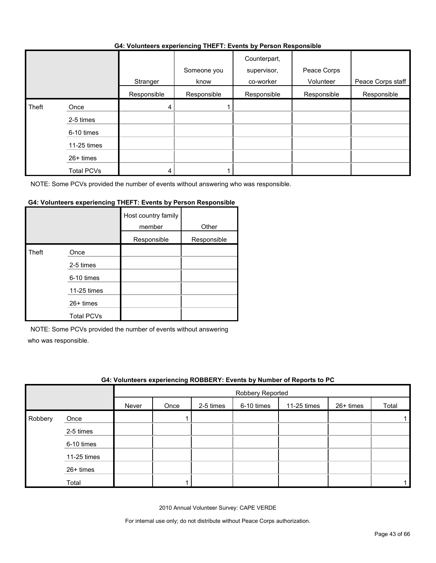#### **G4: Volunteers experiencing THEFT: Events by Person Responsible**

|       |                   | Stranger    | Someone you<br>know | Counterpart,<br>supervisor,<br>co-worker | Peace Corps<br>Volunteer | Peace Corps staff |
|-------|-------------------|-------------|---------------------|------------------------------------------|--------------------------|-------------------|
|       |                   | Responsible | Responsible         | Responsible                              | Responsible              | Responsible       |
| Theft | Once              | 4           |                     |                                          |                          |                   |
|       | 2-5 times         |             |                     |                                          |                          |                   |
|       | 6-10 times        |             |                     |                                          |                          |                   |
|       | 11-25 times       |             |                     |                                          |                          |                   |
|       | 26+ times         |             |                     |                                          |                          |                   |
|       | <b>Total PCVs</b> | 4           |                     |                                          |                          |                   |

NOTE: Some PCVs provided the number of events without answering who was responsible.

#### **G4: Volunteers experiencing THEFT: Events by Person Responsible**

|       |                   | Host country family<br>member | Other       |
|-------|-------------------|-------------------------------|-------------|
|       |                   | Responsible                   | Responsible |
| Theft | Once              |                               |             |
|       | 2-5 times         |                               |             |
|       | 6-10 times        |                               |             |
|       | 11-25 times       |                               |             |
|       | $26+$ times       |                               |             |
|       | <b>Total PCVs</b> |                               |             |

NOTE: Some PCVs provided the number of events without answering

who was responsible.

|         | G4: Volunteers experiencing ROBBERY: Events by Number of Reports to PC |       |                  |           |            |             |             |       |  |
|---------|------------------------------------------------------------------------|-------|------------------|-----------|------------|-------------|-------------|-------|--|
|         |                                                                        |       | Robbery Reported |           |            |             |             |       |  |
|         |                                                                        | Never | Once             | 2-5 times | 6-10 times | 11-25 times | $26+$ times | Total |  |
| Robbery | Once                                                                   |       |                  |           |            |             |             |       |  |
|         | 2-5 times                                                              |       |                  |           |            |             |             |       |  |
|         | 6-10 times                                                             |       |                  |           |            |             |             |       |  |
|         | 11-25 times                                                            |       |                  |           |            |             |             |       |  |
|         | 26+ times                                                              |       |                  |           |            |             |             |       |  |
|         | Total                                                                  |       |                  |           |            |             |             |       |  |

2010 Annual Volunteer Survey: CAPE VERDE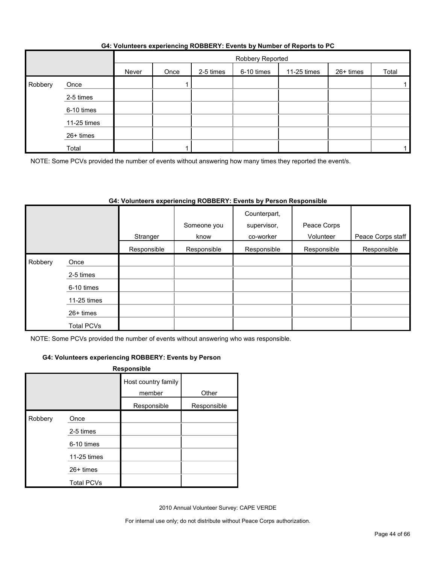|         |             | Robbery Reported |      |           |            |             |           |       |
|---------|-------------|------------------|------|-----------|------------|-------------|-----------|-------|
|         |             | Never            | Once | 2-5 times | 6-10 times | 11-25 times | 26+ times | Total |
| Robbery | Once        |                  |      |           |            |             |           |       |
|         | 2-5 times   |                  |      |           |            |             |           |       |
|         | 6-10 times  |                  |      |           |            |             |           |       |
|         | 11-25 times |                  |      |           |            |             |           |       |
|         | 26+ times   |                  |      |           |            |             |           |       |
|         | Total       |                  |      |           |            |             |           |       |

### **G4: Volunteers experiencing ROBBERY: Events by Number of Reports to PC**

NOTE: Some PCVs provided the number of events without answering how many times they reported the event/s.

#### **G4: Volunteers experiencing ROBBERY: Events by Person Responsible**

|         |                   | Stranger    | Someone you<br>know | Counterpart,<br>supervisor,<br>co-worker | Peace Corps<br>Volunteer | Peace Corps staff |
|---------|-------------------|-------------|---------------------|------------------------------------------|--------------------------|-------------------|
|         |                   | Responsible | Responsible         | Responsible                              | Responsible              | Responsible       |
| Robbery | Once              |             |                     |                                          |                          |                   |
|         | 2-5 times         |             |                     |                                          |                          |                   |
|         | 6-10 times        |             |                     |                                          |                          |                   |
|         | 11-25 times       |             |                     |                                          |                          |                   |
|         | 26+ times         |             |                     |                                          |                          |                   |
|         | <b>Total PCVs</b> |             |                     |                                          |                          |                   |

NOTE: Some PCVs provided the number of events without answering who was responsible.

#### **G4: Volunteers experiencing ROBBERY: Events by Person**

|         |                   | Responsible                   |             |
|---------|-------------------|-------------------------------|-------------|
|         |                   | Host country family<br>member | Other       |
|         |                   | Responsible                   | Responsible |
| Robbery | Once              |                               |             |
|         | 2-5 times         |                               |             |
|         | 6-10 times        |                               |             |
|         | 11-25 times       |                               |             |
|         | 26+ times         |                               |             |
|         | <b>Total PCVs</b> |                               |             |

2010 Annual Volunteer Survey: CAPE VERDE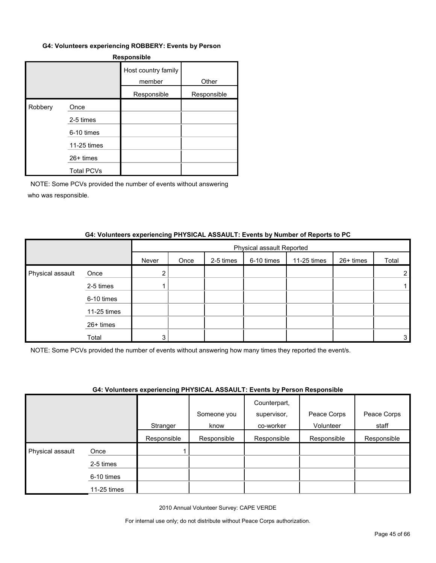#### **G4: Volunteers experiencing ROBBERY: Events by Person**

| <b>Responsible</b> |                   |                               |             |  |  |  |  |
|--------------------|-------------------|-------------------------------|-------------|--|--|--|--|
|                    |                   | Host country family<br>member | Other       |  |  |  |  |
|                    |                   | Responsible                   | Responsible |  |  |  |  |
| Robbery            | Once              |                               |             |  |  |  |  |
|                    | 2-5 times         |                               |             |  |  |  |  |
|                    | 6-10 times        |                               |             |  |  |  |  |
|                    | 11-25 times       |                               |             |  |  |  |  |
|                    | 26+ times         |                               |             |  |  |  |  |
|                    | <b>Total PCVs</b> |                               |             |  |  |  |  |

NOTE: Some PCVs provided the number of events without answering who was responsible.

#### **G4: Volunteers experiencing PHYSICAL ASSAULT: Events by Number of Reports to PC**

|                  |             |       | Physical assault Reported |           |            |             |           |       |
|------------------|-------------|-------|---------------------------|-----------|------------|-------------|-----------|-------|
|                  |             | Never | Once                      | 2-5 times | 6-10 times | 11-25 times | 26+ times | Total |
| Physical assault | Once        |       |                           |           |            |             |           |       |
|                  | 2-5 times   |       |                           |           |            |             |           |       |
|                  | 6-10 times  |       |                           |           |            |             |           |       |
|                  | 11-25 times |       |                           |           |            |             |           |       |
|                  | 26+ times   |       |                           |           |            |             |           |       |
|                  | Total       | З     |                           |           |            |             |           | 3     |

NOTE: Some PCVs provided the number of events without answering how many times they reported the event/s.

#### **G4: Volunteers experiencing PHYSICAL ASSAULT: Events by Person Responsible**

|                  |             | . . <b>.</b> | Someone you | .<br>Counterpart,<br>supervisor, | Peace Corps | Peace Corps |
|------------------|-------------|--------------|-------------|----------------------------------|-------------|-------------|
|                  |             | Stranger     | know        | co-worker                        | Volunteer   | staff       |
|                  |             | Responsible  | Responsible | Responsible                      | Responsible | Responsible |
| Physical assault | Once        |              |             |                                  |             |             |
|                  | 2-5 times   |              |             |                                  |             |             |
|                  | 6-10 times  |              |             |                                  |             |             |
|                  | 11-25 times |              |             |                                  |             |             |

2010 Annual Volunteer Survey: CAPE VERDE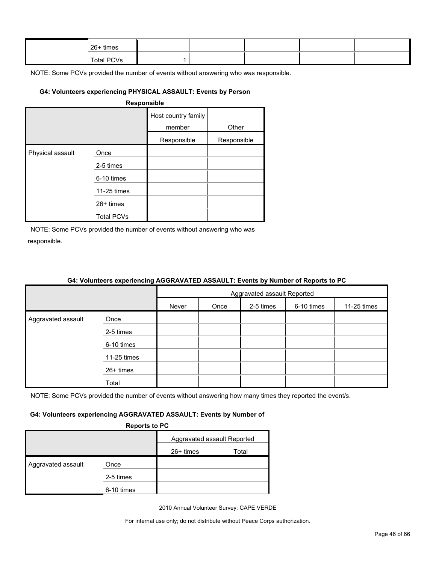| 26+ times         |  |  |  |
|-------------------|--|--|--|
| <b>Total PCVs</b> |  |  |  |

#### **G4: Volunteers experiencing PHYSICAL ASSAULT: Events by Person**

| <b>Responsible</b> |
|--------------------|
|--------------------|

|                  |                   | Host country family<br>member | Other       |
|------------------|-------------------|-------------------------------|-------------|
|                  |                   | Responsible                   | Responsible |
| Physical assault | Once              |                               |             |
|                  | 2-5 times         |                               |             |
|                  | 6-10 times        |                               |             |
|                  | 11-25 times       |                               |             |
|                  | 26+ times         |                               |             |
|                  | <b>Total PCVs</b> |                               |             |

NOTE: Some PCVs provided the number of events without answering who was responsible.

|                    | <u>on relatively experiencing result in the restriction of number of neperio to re</u> |                             |      |           |            |             |  |
|--------------------|----------------------------------------------------------------------------------------|-----------------------------|------|-----------|------------|-------------|--|
|                    |                                                                                        | Aggravated assault Reported |      |           |            |             |  |
|                    |                                                                                        | Never                       | Once | 2-5 times | 6-10 times | 11-25 times |  |
| Aggravated assault | Once                                                                                   |                             |      |           |            |             |  |
|                    | 2-5 times                                                                              |                             |      |           |            |             |  |
|                    | 6-10 times                                                                             |                             |      |           |            |             |  |
|                    | 11-25 times                                                                            |                             |      |           |            |             |  |
|                    | 26+ times                                                                              |                             |      |           |            |             |  |
|                    | Total                                                                                  |                             |      |           |            |             |  |

### **G4: Volunteers experiencing AGGRAVATED ASSAULT: Events by Number of Reports to PC**

NOTE: Some PCVs provided the number of events without answering how many times they reported the event/s.

#### **G4: Volunteers experiencing AGGRAVATED ASSAULT: Events by Number of**

**Reports to PC**

| . . <b>.</b>       |            |                             |       |  |  |  |
|--------------------|------------|-----------------------------|-------|--|--|--|
|                    |            | Aggravated assault Reported |       |  |  |  |
|                    |            | $26+$ times                 | Total |  |  |  |
| Aggravated assault | Once       |                             |       |  |  |  |
|                    | 2-5 times  |                             |       |  |  |  |
|                    | 6-10 times |                             |       |  |  |  |

2010 Annual Volunteer Survey: CAPE VERDE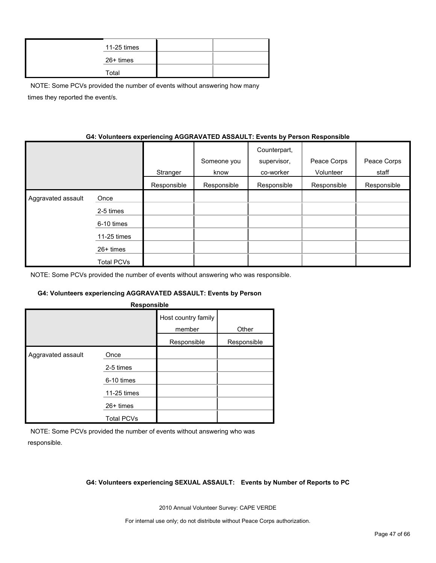| 11-25 times |  |
|-------------|--|
| 26+ times   |  |
| Total       |  |

NOTE: Some PCVs provided the number of events without answering how many times they reported the event/s.

#### **G4: Volunteers experiencing AGGRAVATED ASSAULT: Events by Person Responsible**

|                    |                   | Stranger    | Someone you<br>know | Counterpart,<br>supervisor,<br>co-worker | Peace Corps<br>Volunteer | Peace Corps<br>staff |
|--------------------|-------------------|-------------|---------------------|------------------------------------------|--------------------------|----------------------|
|                    |                   | Responsible | Responsible         | Responsible                              | Responsible              | Responsible          |
| Aggravated assault | Once              |             |                     |                                          |                          |                      |
|                    | 2-5 times         |             |                     |                                          |                          |                      |
|                    | 6-10 times        |             |                     |                                          |                          |                      |
|                    | 11-25 times       |             |                     |                                          |                          |                      |
|                    | $26+$ times       |             |                     |                                          |                          |                      |
|                    | <b>Total PCVs</b> |             |                     |                                          |                          |                      |

NOTE: Some PCVs provided the number of events without answering who was responsible.

#### **G4: Volunteers experiencing AGGRAVATED ASSAULT: Events by Person**

| Responsible        |                   |                               |             |  |  |  |  |  |  |
|--------------------|-------------------|-------------------------------|-------------|--|--|--|--|--|--|
|                    |                   | Host country family<br>member | Other       |  |  |  |  |  |  |
|                    |                   | Responsible                   | Responsible |  |  |  |  |  |  |
| Aggravated assault | Once              |                               |             |  |  |  |  |  |  |
|                    | 2-5 times         |                               |             |  |  |  |  |  |  |
|                    | 6-10 times        |                               |             |  |  |  |  |  |  |
|                    | 11-25 times       |                               |             |  |  |  |  |  |  |
|                    | 26+ times         |                               |             |  |  |  |  |  |  |
|                    | <b>Total PCVs</b> |                               |             |  |  |  |  |  |  |

NOTE: Some PCVs provided the number of events without answering who was responsible.

#### **G4: Volunteers experiencing SEXUAL ASSAULT: Events by Number of Reports to PC**

2010 Annual Volunteer Survey: CAPE VERDE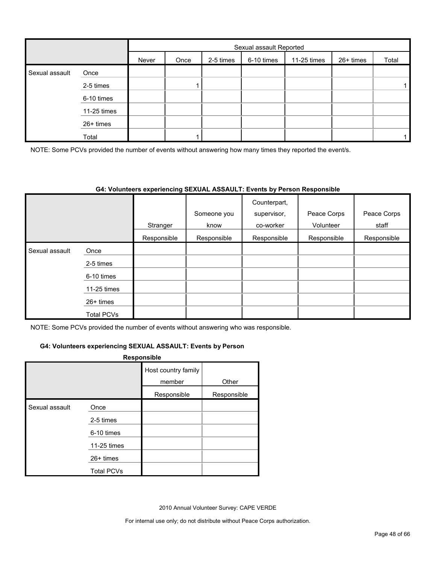|                |             |       | Sexual assault Reported |           |            |             |           |       |  |  |
|----------------|-------------|-------|-------------------------|-----------|------------|-------------|-----------|-------|--|--|
|                |             | Never | Once                    | 2-5 times | 6-10 times | 11-25 times | 26+ times | Total |  |  |
| Sexual assault | Once        |       |                         |           |            |             |           |       |  |  |
|                | 2-5 times   |       |                         |           |            |             |           |       |  |  |
|                | 6-10 times  |       |                         |           |            |             |           |       |  |  |
|                | 11-25 times |       |                         |           |            |             |           |       |  |  |
|                | 26+ times   |       |                         |           |            |             |           |       |  |  |
|                | Total       |       |                         |           |            |             |           |       |  |  |

NOTE: Some PCVs provided the number of events without answering how many times they reported the event/s.

#### **G4: Volunteers experiencing SEXUAL ASSAULT: Events by Person Responsible**

|                |                   |             | Someone you | Counterpart,<br>supervisor, | Peace Corps | Peace Corps |
|----------------|-------------------|-------------|-------------|-----------------------------|-------------|-------------|
|                |                   | Stranger    | know        | co-worker                   | Volunteer   | staff       |
|                |                   | Responsible | Responsible | Responsible                 | Responsible | Responsible |
| Sexual assault | Once              |             |             |                             |             |             |
|                | 2-5 times         |             |             |                             |             |             |
|                | 6-10 times        |             |             |                             |             |             |
|                | 11-25 times       |             |             |                             |             |             |
|                | $26+$ times       |             |             |                             |             |             |
|                | <b>Total PCVs</b> |             |             |                             |             |             |

NOTE: Some PCVs provided the number of events without answering who was responsible.

#### **G4: Volunteers experiencing SEXUAL ASSAULT: Events by Person**

#### **Responsible**

|                |                   | Host country family<br>member | Other       |
|----------------|-------------------|-------------------------------|-------------|
|                |                   | Responsible                   | Responsible |
| Sexual assault | Once              |                               |             |
|                | 2-5 times         |                               |             |
|                | 6-10 times        |                               |             |
|                | 11-25 times       |                               |             |
|                | 26+ times         |                               |             |
|                | <b>Total PCVs</b> |                               |             |

2010 Annual Volunteer Survey: CAPE VERDE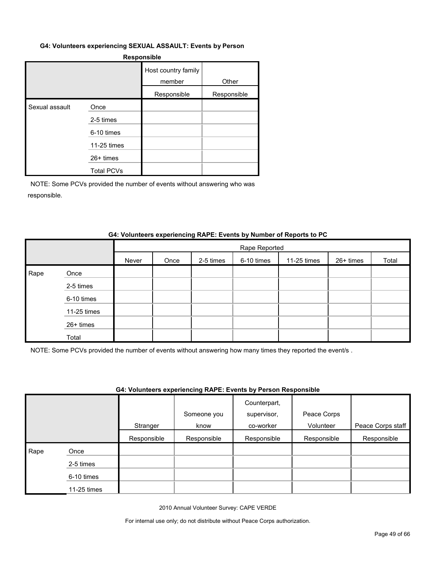#### **G4: Volunteers experiencing SEXUAL ASSAULT: Events by Person**

#### **Responsible**

|                |                   | Host country family<br>member | Other       |
|----------------|-------------------|-------------------------------|-------------|
|                |                   | Responsible                   | Responsible |
| Sexual assault | Once              |                               |             |
|                | 2-5 times         |                               |             |
|                | 6-10 times        |                               |             |
|                | 11-25 times       |                               |             |
|                | $26+$ times       |                               |             |
|                | <b>Total PCVs</b> |                               |             |

NOTE: Some PCVs provided the number of events without answering who was responsible.

#### **G4: Volunteers experiencing RAPE: Events by Number of Reports to PC**

|      |             |       | Rape Reported |           |            |             |           |       |  |  |
|------|-------------|-------|---------------|-----------|------------|-------------|-----------|-------|--|--|
|      |             | Never | Once          | 2-5 times | 6-10 times | 11-25 times | 26+ times | Total |  |  |
| Rape | Once        |       |               |           |            |             |           |       |  |  |
|      | 2-5 times   |       |               |           |            |             |           |       |  |  |
|      | 6-10 times  |       |               |           |            |             |           |       |  |  |
|      | 11-25 times |       |               |           |            |             |           |       |  |  |
|      | 26+ times   |       |               |           |            |             |           |       |  |  |
|      | Total       |       |               |           |            |             |           |       |  |  |

NOTE: Some PCVs provided the number of events without answering how many times they reported the event/s .

#### **G4: Volunteers experiencing RAPE: Events by Person Responsible**

|      |             | Stranger    | Someone you<br>know | Counterpart,<br>supervisor,<br>co-worker | Peace Corps<br>Volunteer | Peace Corps staff |
|------|-------------|-------------|---------------------|------------------------------------------|--------------------------|-------------------|
|      |             | Responsible | Responsible         | Responsible                              | Responsible              | Responsible       |
| Rape | Once        |             |                     |                                          |                          |                   |
|      | 2-5 times   |             |                     |                                          |                          |                   |
|      | 6-10 times  |             |                     |                                          |                          |                   |
|      | 11-25 times |             |                     |                                          |                          |                   |

2010 Annual Volunteer Survey: CAPE VERDE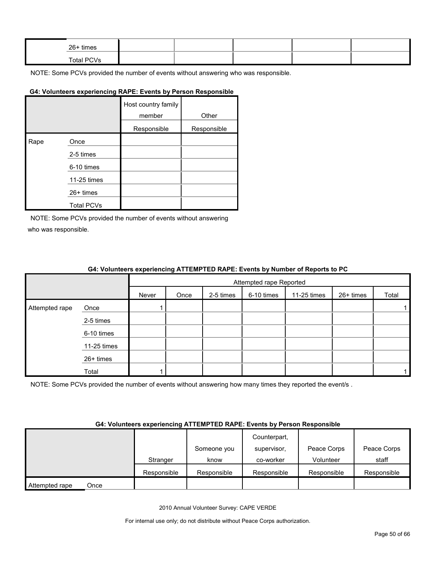| 26+ times  |  |  |  |
|------------|--|--|--|
| Total PCVs |  |  |  |

# **G4: Volunteers experiencing RAPE: Events by Person Responsible**

|      |                   | Host country family<br>member | Other       |
|------|-------------------|-------------------------------|-------------|
|      |                   | Responsible                   | Responsible |
| Rape | Once              |                               |             |
|      | 2-5 times         |                               |             |
|      | 6-10 times        |                               |             |
|      | 11-25 times       |                               |             |
|      | $26+$ times       |                               |             |
|      | <b>Total PCVs</b> |                               |             |

NOTE: Some PCVs provided the number of events without answering who was responsible.

#### **G4: Volunteers experiencing ATTEMPTED RAPE: Events by Number of Reports to PC**

|                |             |       | Attempted rape Reported |           |            |             |           |       |
|----------------|-------------|-------|-------------------------|-----------|------------|-------------|-----------|-------|
|                |             | Never | Once                    | 2-5 times | 6-10 times | 11-25 times | 26+ times | Total |
| Attempted rape | Once        |       |                         |           |            |             |           |       |
|                | 2-5 times   |       |                         |           |            |             |           |       |
|                | 6-10 times  |       |                         |           |            |             |           |       |
|                | 11-25 times |       |                         |           |            |             |           |       |
|                | 26+ times   |       |                         |           |            |             |           |       |
|                | Total       |       |                         |           |            |             |           |       |

NOTE: Some PCVs provided the number of events without answering how many times they reported the event/s.

#### **G4: Volunteers experiencing ATTEMPTED RAPE: Events by Person Responsible**

|                        |             |             | Counterpart, |             |             |
|------------------------|-------------|-------------|--------------|-------------|-------------|
|                        |             | Someone you | supervisor.  | Peace Corps | Peace Corps |
|                        | Stranger    | know        | co-worker    | Volunteer   | staff       |
|                        | Responsible | Responsible | Responsible  | Responsible | Responsible |
| Attempted rape<br>Once |             |             |              |             |             |

2010 Annual Volunteer Survey: CAPE VERDE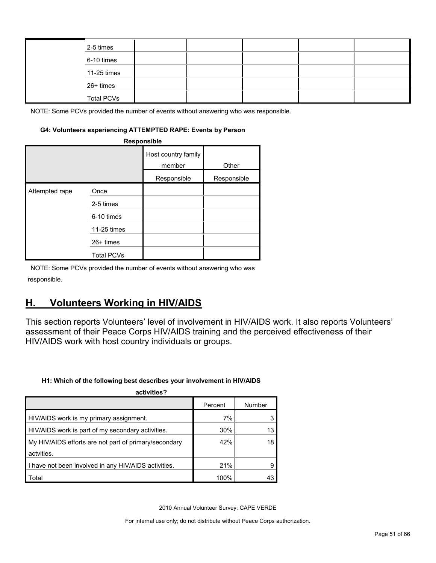| 2-5 times         |  |  |  |
|-------------------|--|--|--|
| 6-10 times        |  |  |  |
| 11-25 times       |  |  |  |
| 26+ times         |  |  |  |
| <b>Total PCVs</b> |  |  |  |

#### **G4: Volunteers experiencing ATTEMPTED RAPE: Events by Person**

| Responsible    |                   |                               |             |  |  |  |
|----------------|-------------------|-------------------------------|-------------|--|--|--|
|                |                   | Host country family<br>member | Other       |  |  |  |
|                |                   | Responsible                   | Responsible |  |  |  |
| Attempted rape | Once              |                               |             |  |  |  |
|                | 2-5 times         |                               |             |  |  |  |
|                | 6-10 times        |                               |             |  |  |  |
|                | 11-25 times       |                               |             |  |  |  |
|                | $26+$ times       |                               |             |  |  |  |
|                | <b>Total PCVs</b> |                               |             |  |  |  |

NOTE: Some PCVs provided the number of events without answering who was responsible.

# <span id="page-50-0"></span>**H. Volunteers Working in HIV/AIDS**

This section reports Volunteers' level of involvement in HIV/AIDS work. It also reports Volunteers' assessment of their Peace Corps HIV/AIDS training and the perceived effectiveness of their HIV/AIDS work with host country individuals or groups.

#### **H1: Which of the following best describes your involvement in HIV/AIDS**

| activities?                                           |         |        |
|-------------------------------------------------------|---------|--------|
|                                                       | Percent | Number |
| HIV/AIDS work is my primary assignment.               | 7%      |        |
| HIV/AIDS work is part of my secondary activities.     | 30%     | 13     |
| My HIV/AIDS efforts are not part of primary/secondary | 42%     | 18     |
| actvities.                                            |         |        |
| I have not been involved in any HIV/AIDS activities.  | 21%     |        |
| Total                                                 | 100%    |        |

2010 Annual Volunteer Survey: CAPE VERDE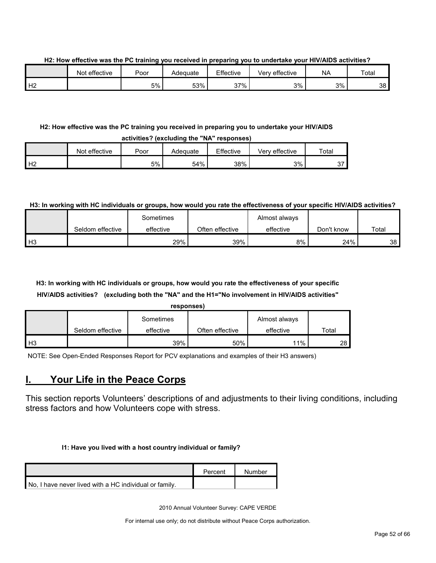**H2: How effective was the PC training you received in preparing you to undertake your HIV/AIDS activities?**

|    | Not effective | Poor | Adequate | Effective | effective<br>Verv | <b>NA</b> | Total |
|----|---------------|------|----------|-----------|-------------------|-----------|-------|
| Н2 |               | 5%   | 53%      | 37%       | 3%                | 3%        | 38    |

#### **H2: How effective was the PC training you received in preparing you to undertake your HIV/AIDS**

| activities? (excluding the "NA" responses) |               |      |          |           |                |             |
|--------------------------------------------|---------------|------|----------|-----------|----------------|-------------|
|                                            | Not effective | Poor | Adequate | Effective | Verv effective | $\tau$ otal |
| H <sub>2</sub>                             |               | 5%   | 54%      | 38%       | 3%             | 27          |

#### **H3: In working with HC individuals or groups, how would you rate the effectiveness of your specific HIV/AIDS activities?**

|                |                  | Sometimes |                 | Almost always |            |       |
|----------------|------------------|-----------|-----------------|---------------|------------|-------|
|                | Seldom effective | effective | Often effective | effective     | Don't know | Total |
| H <sub>3</sub> |                  | 29%       | 39%             | 8%            | 24%        | 38    |

# **H3: In working with HC individuals or groups, how would you rate the effectiveness of your specific HIV/AIDS activities? (excluding both the "NA" and the H1="No involvement in HIV/AIDS activities"**

| re<br>sponse |
|--------------|
|--------------|

|      |                  | Sometimes |                 | Almost always |       |
|------|------------------|-----------|-----------------|---------------|-------|
|      | Seldom effective | effective | Often effective | effective     | Total |
| I нз |                  | $39\%$    | 50%             | $11\%$ .      | 28    |

NOTE: See Open-Ended Responses Report for PCV explanations and examples of their H3 answers)

# <span id="page-51-0"></span>**I. Your Life in the Peace Corps**

This section reports Volunteers' descriptions of and adjustments to their living conditions, including stress factors and how Volunteers cope with stress.

#### **I1: Have you lived with a host country individual or family?**

|                                                        | Percent | Number |
|--------------------------------------------------------|---------|--------|
| No. I have never lived with a HC individual or family. |         |        |

2010 Annual Volunteer Survey: CAPE VERDE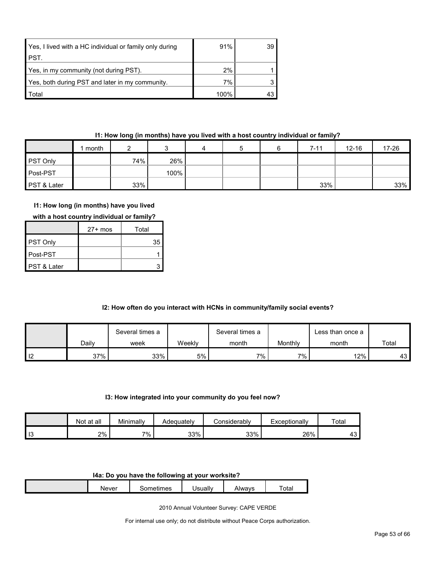| Yes, I lived with a HC individual or family only during | 91%  | 39 |
|---------------------------------------------------------|------|----|
| <b>PST.</b>                                             |      |    |
| Yes, in my community (not during PST).                  | 2%   |    |
| Yes, both during PST and later in my community.         | 7%   |    |
| <b>Total</b>                                            | 100% |    |

# **I1: How long (in months) have you lived with a host country individual or family?**

|             | month |     |      | 4 | 5 | $7 - 11$ | $12 - 16$ | 17-26 |
|-------------|-------|-----|------|---|---|----------|-----------|-------|
| PST Only    |       | 74% | 26%  |   |   |          |           |       |
| Post-PST    |       |     | 100% |   |   |          |           |       |
| PST & Later |       | 33% |      |   |   | 33%      |           | 33%   |

# **I1: How long (in months) have you lived**

| with a host country individual or family? |  |
|-------------------------------------------|--|
|-------------------------------------------|--|

|                        | $27+$ mos | Total |
|------------------------|-----------|-------|
| <b>PST Only</b>        |           | 35    |
| ∎Post-PST              |           |       |
| <b>PST &amp; Later</b> |           |       |

# **I2: How often do you interact with HCNs in community/family social events?**

|                |       | Several times a |         | Several times a |         | ∟ess than once a |       |
|----------------|-------|-----------------|---------|-----------------|---------|------------------|-------|
|                | Daily | week            | Weekly  | month           | Monthly | month            | Total |
| $\blacksquare$ | 37%   | 33%             | $5\%$ . | 7% .            | $7\%$   | 12%              | 43 I  |

#### **I3: How integrated into your community do you feel now?**

|    | Not at all | Minimally | Adequatelv | `onsiderablv | Exceptionally | Total         |
|----|------------|-----------|------------|--------------|---------------|---------------|
| 13 | 2%         | 7%        | 33%        | 33%          | 26%           | $\sim$<br>⊸ + |

#### **I4a: Do you have the following at your worksite?**

| Never | mes<br>$   -$<br>.<br> | Jsually | Alwavs | $\overline{\phantom{a}}$<br>$\overline{a}$<br>⊺otal |
|-------|------------------------|---------|--------|-----------------------------------------------------|
|       |                        |         |        |                                                     |

2010 Annual Volunteer Survey: CAPE VERDE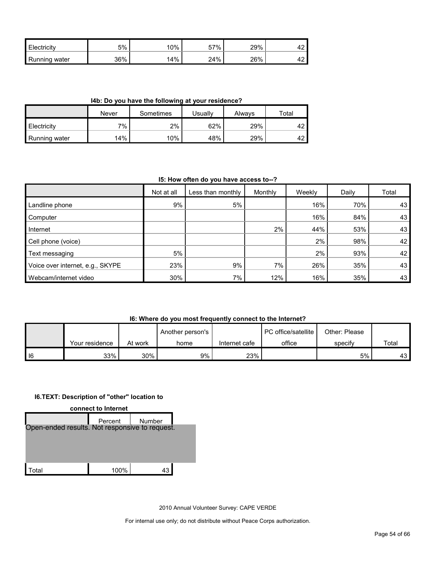| Electricity   | 5%  | $^{\circ}0\%$ | 57% | 29% | -74 |
|---------------|-----|---------------|-----|-----|-----|
| Running water | 36% | 14%           | 24% | 26% | ╍   |

**I4b: Do you have the following at your residence?**

|                      | Never | Sometimes | Jsuallv | Alwavs | Total      |
|----------------------|-------|-----------|---------|--------|------------|
| <b>Electricity</b>   | 7%    | 2%        | 62%     | 29%    | $\sqrt{2}$ |
| <b>Running water</b> | 14%   | 10%       | 48%     | 29%    | $\sqrt{2}$ |

#### **I5: How often do you have access to--?**

|                                  | Not at all | Less than monthly | Monthly | Weekly | Daily | Total |
|----------------------------------|------------|-------------------|---------|--------|-------|-------|
| Landline phone                   | 9%         | 5%                |         | 16%    | 70%   | 43    |
| Computer                         |            |                   |         | 16%    | 84%   | 43    |
| Internet                         |            |                   | 2%      | 44%    | 53%   | 43    |
| Cell phone (voice)               |            |                   |         | 2%     | 98%   | 42    |
| Text messaging                   | 5%         |                   |         | 2%     | 93%   | 42    |
| Voice over internet, e.g., SKYPE | 23%        | 9%                | 7%      | 26%    | 35%   | 43    |
| Webcam/internet video            | 30%        | $7\%$             | 12%     | 16%    | 35%   | 43    |

#### **I6: Where do you most frequently connect to the Internet?**

|   |                |         | Another person's |               | PC office/satellite | Other: Please |       |
|---|----------------|---------|------------------|---------------|---------------------|---------------|-------|
|   | Your residence | At work | home             | Internet cafe | office              | specify       | Total |
| 6 | 33%            | 30%     | 9%               | 23%           |                     | 5%            | 43 I  |

#### **I6.TEXT: Description of "other" location to**



2010 Annual Volunteer Survey: CAPE VERDE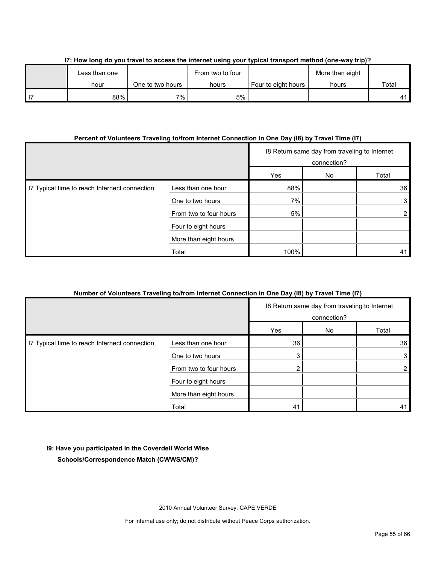| Less than one |                  | From two to four |                     | More than eight |       |
|---------------|------------------|------------------|---------------------|-----------------|-------|
| hour          | One to two hours | hours            | Four to eight hours | hours           | Total |
| 88%           | $7\%$ .          | 5%               |                     |                 |       |

### **I7: How long do you travel to access the internet using your typical transport method (one-way trip)?**

# **Percent of Volunteers Traveling to/from Internet Connection in One Day (I8) by Travel Time (I7)**

|                                               |                        | 18 Return same day from traveling to Internet<br>connection? |  |       |
|-----------------------------------------------|------------------------|--------------------------------------------------------------|--|-------|
|                                               |                        | Yes<br>No                                                    |  | Total |
| I7 Typical time to reach Internect connection | Less than one hour     | 88%                                                          |  | 36    |
|                                               | One to two hours       | 7%                                                           |  |       |
|                                               | From two to four hours | 5%                                                           |  |       |
|                                               | Four to eight hours    |                                                              |  |       |
|                                               | More than eight hours  |                                                              |  |       |
|                                               | Total                  | 100%                                                         |  | 41    |

# **Number of Volunteers Traveling to/from Internet Connection in One Day (I8) by Travel Time (I7)**

|                                               |                        | 18 Return same day from traveling to Internet<br>connection? |    |                |
|-----------------------------------------------|------------------------|--------------------------------------------------------------|----|----------------|
|                                               |                        | Yes                                                          | No | Total          |
| I7 Typical time to reach Internect connection | Less than one hour     | 36                                                           |    | 36             |
|                                               | One to two hours       | 3                                                            |    | 3              |
|                                               | From two to four hours |                                                              |    | $\overline{2}$ |
|                                               | Four to eight hours    |                                                              |    |                |
|                                               | More than eight hours  |                                                              |    |                |
|                                               | Total                  | 41                                                           |    | 41             |

# **I9: Have you participated in the Coverdell World Wise**

**Schools/Correspondence Match (CWWS/CM)?**

2010 Annual Volunteer Survey: CAPE VERDE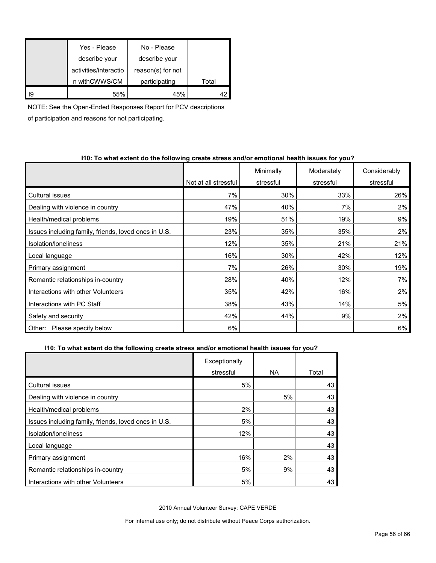|                 | Yes - Please          | No - Please       |       |
|-----------------|-----------------------|-------------------|-------|
|                 | describe your         | describe your     |       |
|                 | activities/interactio | reason(s) for not |       |
|                 | n withCWWS/CM         | participating     | Total |
| $\overline{19}$ | 55%                   | 45%               |       |

NOTE: See the Open-Ended Responses Report for PCV descriptions

of participation and reasons for not participating.

#### **I10: To what extent do the following create stress and/or emotional health issues for you?**

|                                                      |                      | Minimally | Moderately | Considerably |
|------------------------------------------------------|----------------------|-----------|------------|--------------|
|                                                      | Not at all stressful | stressful | stressful  | stressful    |
| Cultural issues                                      | 7%                   | 30%       | 33%        | 26%          |
| Dealing with violence in country                     | 47%                  | 40%       | 7%         | 2%           |
| Health/medical problems                              | 19%                  | 51%       | 19%        | 9%           |
| Issues including family, friends, loved ones in U.S. | 23%                  | 35%       | 35%        | 2%           |
| Isolation/Ioneliness                                 | 12%                  | 35%       | 21%        | 21%          |
| Local language                                       | 16%                  | 30%       | 42%        | 12%          |
| Primary assignment                                   | 7%                   | 26%       | 30%        | 19%          |
| Romantic relationships in-country                    | 28%                  | 40%       | 12%        | 7%           |
| Interactions with other Volunteers                   | 35%                  | 42%       | 16%        | 2%           |
| Interactions with PC Staff                           | 38%                  | 43%       | 14%        | 5%           |
| Safety and security                                  | 42%                  | 44%       | 9%         | 2%           |
| Please specify below<br>Other:                       | 6%                   |           |            | 6%           |

### **I10: To what extent do the following create stress and/or emotional health issues for you?**

|                                                      | Exceptionally |           |       |
|------------------------------------------------------|---------------|-----------|-------|
|                                                      | stressful     | <b>NA</b> | Total |
| <b>Cultural issues</b>                               | 5%            |           | 43    |
| Dealing with violence in country                     |               | 5%        | 43    |
| Health/medical problems                              | 2%            |           | 43    |
| Issues including family, friends, loved ones in U.S. | 5%            |           | 43    |
| Isolation/loneliness                                 | 12%           |           | 43    |
| Local language                                       |               |           | 43    |
| Primary assignment                                   | 16%           | 2%        | 43    |
| Romantic relationships in-country                    | 5%            | 9%        | 43    |
| Interactions with other Volunteers                   | 5%            |           | 43    |

2010 Annual Volunteer Survey: CAPE VERDE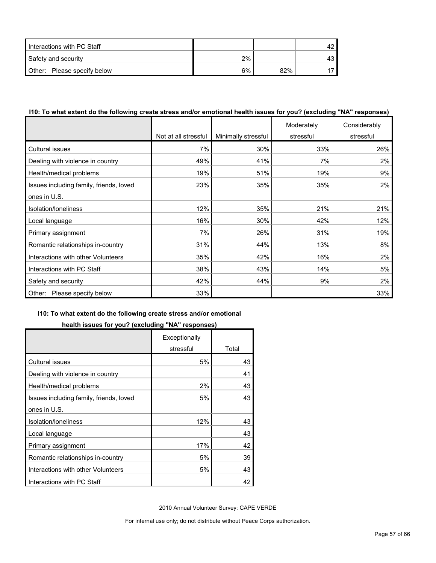| Interactions with PC Staff  |    |     |  |
|-----------------------------|----|-----|--|
| Safety and security         | 2% |     |  |
| Other: Please specify below | 6% | 82% |  |

### **I10: To what extent do the following create stress and/or emotional health issues for you? (excluding "NA" responses)**

|                                         |                      |                     | Moderately | Considerably |
|-----------------------------------------|----------------------|---------------------|------------|--------------|
|                                         | Not at all stressful | Minimally stressful | stressful  | stressful    |
| Cultural issues                         | 7%                   | 30%                 | 33%        | 26%          |
| Dealing with violence in country        | 49%                  | 41%                 | 7%         | 2%           |
| Health/medical problems                 | 19%                  | 51%                 | 19%        | 9%           |
| Issues including family, friends, loved | 23%                  | 35%                 | 35%        | 2%           |
| ones in U.S.                            |                      |                     |            |              |
| Isolation/loneliness                    | 12%                  | 35%                 | 21%        | 21%          |
| Local language                          | 16%                  | 30%                 | 42%        | 12%          |
| Primary assignment                      | 7%                   | 26%                 | 31%        | 19%          |
| Romantic relationships in-country       | 31%                  | 44%                 | 13%        | 8%           |
| Interactions with other Volunteers      | 35%                  | 42%                 | 16%        | 2%           |
| Interactions with PC Staff              | 38%                  | 43%                 | 14%        | 5%           |
| Safety and security                     | 42%                  | 44%                 | 9%         | 2%           |
| Please specify below<br>Other:          | 33%                  |                     |            | 33%          |

#### **I10: To what extent do the following create stress and/or emotional**

### **health issues for you? (excluding "NA" responses)**

|                                         | Exceptionally |       |
|-----------------------------------------|---------------|-------|
|                                         | stressful     | Total |
| Cultural issues                         | 5%            | 43    |
| Dealing with violence in country        |               | 41    |
| Health/medical problems                 | 2%            | 43    |
| Issues including family, friends, loved | 5%            | 43    |
| ones in U.S.                            |               |       |
| Isolation/loneliness                    | 12%           | 43    |
| Local language                          |               | 43    |
| Primary assignment                      | 17%           | 42    |
| Romantic relationships in-country       | 5%            | 39    |
| Interactions with other Volunteers      | 5%            | 43    |
| Interactions with PC Staff              |               | 42    |

2010 Annual Volunteer Survey: CAPE VERDE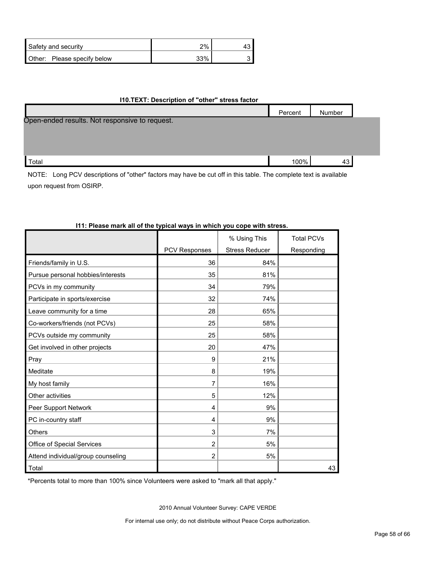| Safety and security         | 2%  |  |
|-----------------------------|-----|--|
| Other: Please specify below | 33% |  |

#### **I10.TEXT: Description of "other" stress factor**

|                                                | Percent | Number |  |
|------------------------------------------------|---------|--------|--|
| Open-ended results. Not responsive to request. |         |        |  |
|                                                |         |        |  |
|                                                |         |        |  |
|                                                |         |        |  |
| Total                                          | 100%    | 43     |  |

NOTE: Long PCV descriptions of "other" factors may have be cut off in this table. The complete text is available upon request from OSIRP.

|                                    |                      | % Using This          | <b>Total PCVs</b> |
|------------------------------------|----------------------|-----------------------|-------------------|
|                                    | <b>PCV Responses</b> | <b>Stress Reducer</b> | Responding        |
| Friends/family in U.S.             | 36                   | 84%                   |                   |
| Pursue personal hobbies/interests  | 35                   | 81%                   |                   |
| PCVs in my community               | 34                   | 79%                   |                   |
| Participate in sports/exercise     | 32                   | 74%                   |                   |
| Leave community for a time         | 28                   | 65%                   |                   |
| Co-workers/friends (not PCVs)      | 25                   | 58%                   |                   |
| PCVs outside my community          | 25                   | 58%                   |                   |
| Get involved in other projects     | 20                   | 47%                   |                   |
| Pray                               | 9                    | 21%                   |                   |
| Meditate                           | 8                    | 19%                   |                   |
| My host family                     | 7                    | 16%                   |                   |
| Other activities                   | 5                    | 12%                   |                   |
| Peer Support Network               | 4                    | 9%                    |                   |
| PC in-country staff                | 4                    | 9%                    |                   |
| Others                             | 3                    | 7%                    |                   |
| Office of Special Services         | $\overline{2}$       | 5%                    |                   |
| Attend individual/group counseling | $\overline{2}$       | 5%                    |                   |
| Total                              |                      |                       | 43                |

### **I11: Please mark all of the typical ways in which you cope with stress.**

\*Percents total to more than 100% since Volunteers were asked to "mark all that apply."

2010 Annual Volunteer Survey: CAPE VERDE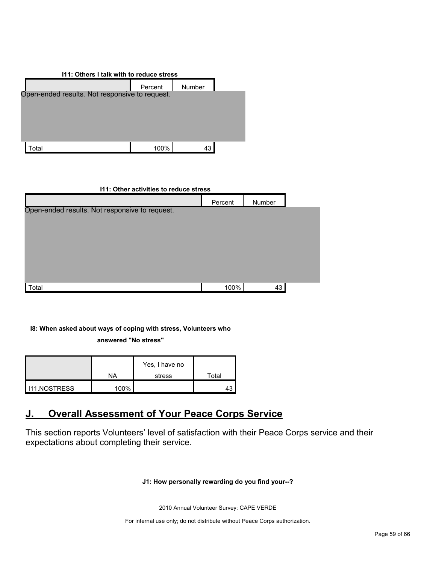| 111: Others I talk with to reduce stress       |         |        |  |  |  |  |
|------------------------------------------------|---------|--------|--|--|--|--|
|                                                | Percent | Number |  |  |  |  |
| Open-ended results. Not responsive to request. |         |        |  |  |  |  |
|                                                |         |        |  |  |  |  |
|                                                |         |        |  |  |  |  |
|                                                |         |        |  |  |  |  |
| `otal                                          | 100%    | 43     |  |  |  |  |

#### **I11: Other activities to reduce stress**

|                                                | Percent | Number |  |
|------------------------------------------------|---------|--------|--|
| Open-ended results. Not responsive to request. |         |        |  |
|                                                |         |        |  |
|                                                |         |        |  |
|                                                |         |        |  |
|                                                |         |        |  |
|                                                |         |        |  |
| Total                                          | 100%    | 43     |  |

#### **I8: When asked about ways of coping with stress, Volunteers who**

**answered "No stress"** 

|              |      | Yes, I have no |       |
|--------------|------|----------------|-------|
|              | NA   | stress         | Total |
| 111.NOSTRESS | 100% |                |       |

# <span id="page-58-0"></span>**J. Overall Assessment of Your Peace Corps Service**

This section reports Volunteers' level of satisfaction with their Peace Corps service and their expectations about completing their service.

# **J1: How personally rewarding do you find your--?**

2010 Annual Volunteer Survey: CAPE VERDE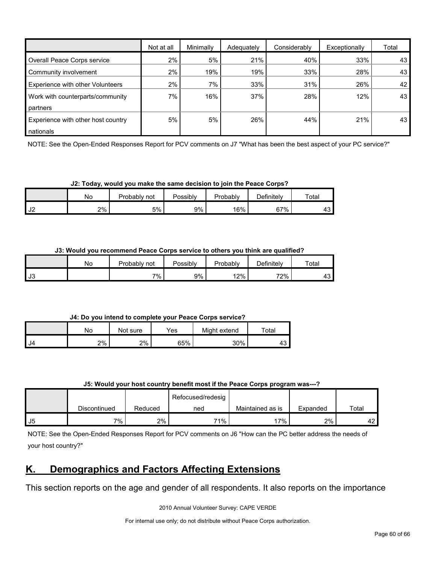|                                    | Not at all | Minimally | Adequately | Considerably | Exceptionally | Total |
|------------------------------------|------------|-----------|------------|--------------|---------------|-------|
| Overall Peace Corps service        | $2\%$      | 5%        | 21%        | 40%          | 33%           | 43    |
| Community involvement              | 2%         | 19%       | 19%        | 33%          | 28%           | 43    |
| Experience with other Volunteers   | 2%         | 7%        | 33%        | 31%          | 26%           | 42    |
| Work with counterparts/community   | 7%         | 16%       | 37%        | 28%          | 12%           | 43    |
| partners                           |            |           |            |              |               |       |
| Experience with other host country | 5%         | 5%        | 26%        | 44%          | 21%           | 43    |
| nationals                          |            |           |            |              |               |       |

NOTE: See the Open-Ended Responses Report for PCV comments on J7 "What has been the best aspect of your PC service?"

**J2: Today, would you make the same decision to join the Peace Corps?**

|               | No | Probably<br>not | Possibly | Probably | <b>Definitely</b> | Total                |
|---------------|----|-----------------|----------|----------|-------------------|----------------------|
| $\sim$<br>ے ں | 2% | 5%              | 9%       | 16%      | 67%               | $\overline{ }$<br>43 |

**J3: Would you recommend Peace Corps service to others you think are qualified?**

|           | No | Probably not | Possibly | Probably | Definitely | Total        |
|-----------|----|--------------|----------|----------|------------|--------------|
| <b>J3</b> |    | $7\%$        | 9%       | 12%      | 72%        | ו בי<br>ا ت+ |

**J4: Do you intend to complete your Peace Corps service?**

|      | No | Not sure | Yes | Might extend | Total |
|------|----|----------|-----|--------------|-------|
| I J4 | 2% | 2%       | 65% | 30%          | ┱     |

| J5: Would your host country benefit most if the Peace Corps program was---? |  |
|-----------------------------------------------------------------------------|--|
|-----------------------------------------------------------------------------|--|

|    |              |         | Refocused/redesig |                  |          |       |
|----|--------------|---------|-------------------|------------------|----------|-------|
|    | Discontinued | Reduced | ned               | Maintained as is | Expanded | Total |
| J5 | $7\%$ ,      | 2%      | 71%               | 17%              | 2%       | 44    |

NOTE: See the Open-Ended Responses Report for PCV comments on J6 "How can the PC better address the needs of your host country?"

# <span id="page-59-0"></span>**K. Demographics and Factors Affecting Extensions**

This section reports on the age and gender of all respondents. It also reports on the importance

2010 Annual Volunteer Survey: CAPE VERDE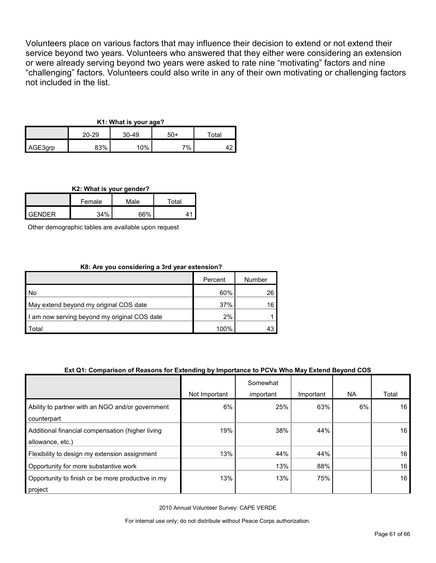Volunteers place on various factors that may influence their decision to extend or not extend their service beyond two years. Volunteers who answered that they either were considering an extension or were already serving beyond two years were asked to rate nine "motivating" factors and nine "challenging" factors. Volunteers could also write in any of their own motivating or challenging factors not included in the list.

# **K1: What is your age?**

|         | 20-29 | 30-49 | 50+ | $\tau$ otal |  |
|---------|-------|-------|-----|-------------|--|
| AGE3grp | 83%   | 10%   | 7%  |             |  |

#### **K2: What is your gender?**

|               | Female | Male | ັota⊦ |  |
|---------------|--------|------|-------|--|
| <b>GENDER</b> | 34%    | 66%  |       |  |

Other demographic tables are available upon request

#### **K8: Are you considering a 3rd year extension?**

|                                              | Percent | Number |
|----------------------------------------------|---------|--------|
| , No                                         | 60%     | 26     |
| May extend beyond my original COS date       | 37%     | 16     |
| I am now serving beyond my original COS date | 2%      |        |
| Total                                        | 100%    | 43     |

#### **Ext Q1: Comparison of Reasons for Extending by Importance to PCVs Who May Extend Beyond COS**

|                                                                      |               | Somewhat  |           |     |                 |
|----------------------------------------------------------------------|---------------|-----------|-----------|-----|-----------------|
|                                                                      | Not Important | important | Important | NA. | Total           |
| Ability to partner with an NGO and/or government<br>counterpart      | 6%            | 25%       | 63%       | 6%  | 16 <sup>1</sup> |
| Additional financial compensation (higher living<br>allowance, etc.) | 19%           | 38%       | 44%       |     | 16 <sup>1</sup> |
| Flexibility to design my extension assignment                        | 13%           | 44%       | 44%       |     | 16              |
| Opportunity for more substantive work                                |               | 13%       | 88%       |     | 16              |
| Opportunity to finish or be more productive in my<br>project         | 13%           | 13%       | 75%       |     | 16 <sup>1</sup> |

2010 Annual Volunteer Survey: CAPE VERDE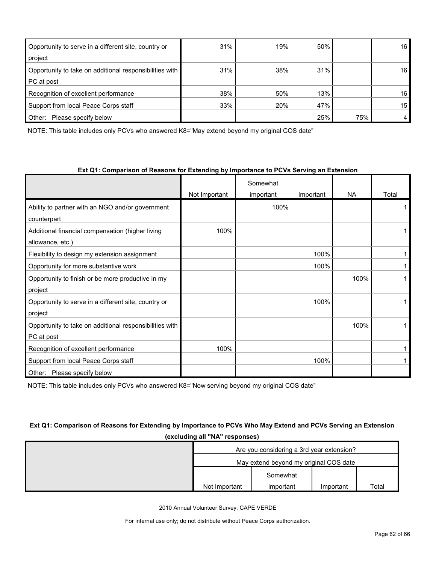| Opportunity to serve in a different site, country or    | 31% | 19% | 50% |     | 16 |
|---------------------------------------------------------|-----|-----|-----|-----|----|
| project                                                 |     |     |     |     |    |
| Opportunity to take on additional responsibilities with | 31% | 38% | 31% |     | 16 |
| PC at post                                              |     |     |     |     |    |
| Recognition of excellent performance                    | 38% | 50% | 13% |     | 16 |
| Support from local Peace Corps staff                    | 33% | 20% | 47% |     | 15 |
| Other:<br>Please specify below                          |     |     | 25% | 75% | 4  |

NOTE: This table includes only PCVs who answered K8="May extend beyond my original COS date"

#### **Ext Q1: Comparison of Reasons for Extending by Importance to PCVs Serving an Extension**

|                                                         |               | Somewhat  |           |           |       |
|---------------------------------------------------------|---------------|-----------|-----------|-----------|-------|
|                                                         | Not Important | important | Important | <b>NA</b> | Total |
| Ability to partner with an NGO and/or government        |               | 100%      |           |           |       |
| counterpart                                             |               |           |           |           |       |
| Additional financial compensation (higher living        | 100%          |           |           |           |       |
| allowance, etc.)                                        |               |           |           |           |       |
| Flexibility to design my extension assignment           |               |           | 100%      |           |       |
| Opportunity for more substantive work                   |               |           | 100%      |           |       |
| Opportunity to finish or be more productive in my       |               |           |           | 100%      |       |
| project                                                 |               |           |           |           |       |
| Opportunity to serve in a different site, country or    |               |           | 100%      |           |       |
| project                                                 |               |           |           |           |       |
| Opportunity to take on additional responsibilities with |               |           |           | 100%      |       |
| PC at post                                              |               |           |           |           |       |
| Recognition of excellent performance                    | 100%          |           |           |           |       |
| Support from local Peace Corps staff                    |               |           | 100%      |           |       |
| Other: Please specify below                             |               |           |           |           |       |

NOTE: This table includes only PCVs who answered K8="Now serving beyond my original COS date"

# **Ext Q1: Comparison of Reasons for Extending by Importance to PCVs Who May Extend and PCVs Serving an Extension (excluding all "NA" responses)**

| Are you considering a 3rd year extension? |           |           |       |  |
|-------------------------------------------|-----------|-----------|-------|--|
| May extend beyond my original COS date    |           |           |       |  |
|                                           | Somewhat  |           |       |  |
| Not Important                             | important | Important | Total |  |

2010 Annual Volunteer Survey: CAPE VERDE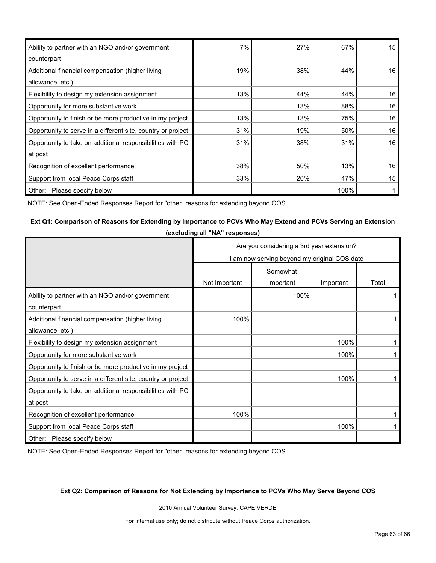| Ability to partner with an NGO and/or government             | 7%  | 27% | 67%  | 15 |
|--------------------------------------------------------------|-----|-----|------|----|
| counterpart                                                  |     |     |      |    |
| Additional financial compensation (higher living             | 19% | 38% | 44%  | 16 |
| allowance, etc.)                                             |     |     |      |    |
| Flexibility to design my extension assignment                | 13% | 44% | 44%  | 16 |
| Opportunity for more substantive work                        |     | 13% | 88%  | 16 |
| Opportunity to finish or be more productive in my project    | 13% | 13% | 75%  | 16 |
| Opportunity to serve in a different site, country or project | 31% | 19% | 50%  | 16 |
| Opportunity to take on additional responsibilities with PC   | 31% | 38% | 31%  | 16 |
| at post                                                      |     |     |      |    |
| Recognition of excellent performance                         | 38% | 50% | 13%  | 16 |
| Support from local Peace Corps staff                         | 33% | 20% | 47%  | 15 |
| Other:<br>Please specify below                               |     |     | 100% |    |

NOTE: See Open-Ended Responses Report for "other" reasons for extending beyond COS

#### **Ext Q1: Comparison of Reasons for Extending by Importance to PCVs Who May Extend and PCVs Serving an Extension**

**(excluding all "NA" responses)**

|                                                              | Are you considering a 3rd year extension?    |           |           |       |  |
|--------------------------------------------------------------|----------------------------------------------|-----------|-----------|-------|--|
|                                                              | I am now serving beyond my original COS date |           |           |       |  |
|                                                              | Somewhat                                     |           |           |       |  |
|                                                              | Not Important                                | important | Important | Total |  |
| Ability to partner with an NGO and/or government             |                                              | 100%      |           |       |  |
| counterpart                                                  |                                              |           |           |       |  |
| Additional financial compensation (higher living             | 100%                                         |           |           |       |  |
| allowance, etc.)                                             |                                              |           |           |       |  |
| Flexibility to design my extension assignment                |                                              |           | 100%      |       |  |
| Opportunity for more substantive work                        |                                              |           | 100%      |       |  |
| Opportunity to finish or be more productive in my project    |                                              |           |           |       |  |
| Opportunity to serve in a different site, country or project |                                              |           | 100%      | 1     |  |
| Opportunity to take on additional responsibilities with PC   |                                              |           |           |       |  |
| at post                                                      |                                              |           |           |       |  |
| Recognition of excellent performance                         | 100%                                         |           |           |       |  |
| Support from local Peace Corps staff                         |                                              |           | 100%      |       |  |
| Other: Please specify below                                  |                                              |           |           |       |  |

NOTE: See Open-Ended Responses Report for "other" reasons for extending beyond COS

#### **Ext Q2: Comparison of Reasons for Not Extending by Importance to PCVs Who May Serve Beyond COS**

2010 Annual Volunteer Survey: CAPE VERDE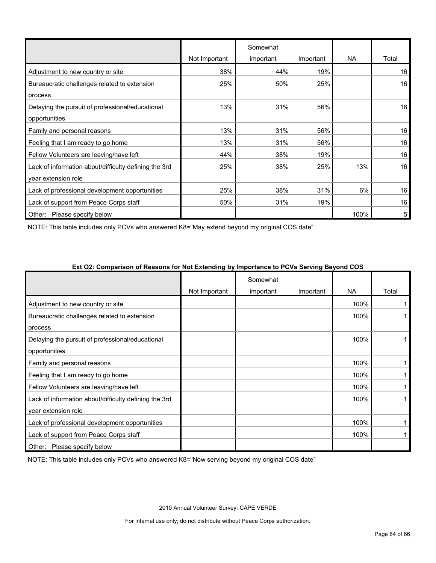|                                                       |               | Somewhat  |           |           |       |
|-------------------------------------------------------|---------------|-----------|-----------|-----------|-------|
|                                                       | Not Important | important | Important | <b>NA</b> | Total |
| Adjustment to new country or site                     | 38%           | 44%       | 19%       |           | 16    |
| Bureaucratic challenges related to extension          | 25%           | 50%       | 25%       |           | 16    |
| process                                               |               |           |           |           |       |
| Delaying the pursuit of professional/educational      | 13%           | 31%       | 56%       |           | 16    |
| opportunities                                         |               |           |           |           |       |
| Family and personal reasons                           | 13%           | 31%       | 56%       |           | 16    |
| Feeling that I am ready to go home                    | 13%           | 31%       | 56%       |           | 16    |
| Fellow Volunteers are leaving/have left               | 44%           | 38%       | 19%       |           | 16    |
| Lack of information about/difficulty defining the 3rd | 25%           | 38%       | 25%       | 13%       | 16    |
| year extension role                                   |               |           |           |           |       |
| Lack of professional development opportunities        | 25%           | 38%       | 31%       | 6%        | 16    |
| Lack of support from Peace Corps staff                | 50%           | 31%       | 19%       |           | 16    |
| Other: Please specify below                           |               |           |           | 100%      | 5     |

NOTE: This table includes only PCVs who answered K8="May extend beyond my original COS date"

|                                                       |               | Somewhat  |           |           |       |
|-------------------------------------------------------|---------------|-----------|-----------|-----------|-------|
|                                                       | Not Important | important | Important | <b>NA</b> | Total |
| Adjustment to new country or site                     |               |           |           | 100%      |       |
| Bureaucratic challenges related to extension          |               |           |           | 100%      |       |
| process                                               |               |           |           |           |       |
| Delaying the pursuit of professional/educational      |               |           |           | 100%      |       |
| opportunities                                         |               |           |           |           |       |
| Family and personal reasons                           |               |           |           | 100%      |       |
| Feeling that I am ready to go home                    |               |           |           | 100%      |       |
| Fellow Volunteers are leaving/have left               |               |           |           | 100%      |       |
| Lack of information about/difficulty defining the 3rd |               |           |           | 100%      |       |
| year extension role                                   |               |           |           |           |       |
| Lack of professional development opportunities        |               |           |           | 100%      |       |
| Lack of support from Peace Corps staff                |               |           |           | 100%      |       |
| Please specify below<br>Other:                        |               |           |           |           |       |

NOTE: This table includes only PCVs who answered K8="Now serving beyond my original COS date"

2010 Annual Volunteer Survey: CAPE VERDE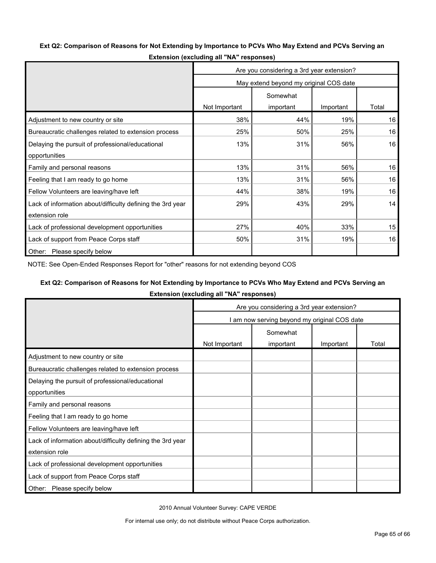#### **Ext Q2: Comparison of Reasons for Not Extending by Importance to PCVs Who May Extend and PCVs Serving an**

|                                                            | Are you considering a 3rd year extension? |           |           |       |  |
|------------------------------------------------------------|-------------------------------------------|-----------|-----------|-------|--|
|                                                            | May extend beyond my original COS date    |           |           |       |  |
|                                                            | Somewhat                                  |           |           |       |  |
|                                                            | Not Important                             | important | Important | Total |  |
| Adjustment to new country or site                          | 38%                                       | 44%       | 19%       | 16    |  |
| Bureaucratic challenges related to extension process       | 25%                                       | 50%       | 25%       | 16    |  |
| Delaying the pursuit of professional/educational           | 13%                                       | 31%       | 56%       | 16    |  |
| opportunities                                              |                                           |           |           |       |  |
| Family and personal reasons                                | 13%                                       | 31%       | 56%       | 16    |  |
| Feeling that I am ready to go home                         | 13%                                       | 31%       | 56%       | 16    |  |
| Fellow Volunteers are leaving/have left                    | 44%                                       | 38%       | 19%       | 16    |  |
| Lack of information about/difficulty defining the 3rd year | 29%                                       | 43%       | 29%       | 14    |  |
| extension role                                             |                                           |           |           |       |  |
| Lack of professional development opportunities             | 27%                                       | 40%       | 33%       | 15    |  |
| Lack of support from Peace Corps staff                     | 50%                                       | 31%       | 19%       | 16    |  |
| Other: Please specify below                                |                                           |           |           |       |  |

**Extension (excluding all "NA" responses)**

NOTE: See Open-Ended Responses Report for "other" reasons for not extending beyond COS

#### **Ext Q2: Comparison of Reasons for Not Extending by Importance to PCVs Who May Extend and PCVs Serving an**

**Extension (excluding all "NA" responses)**

|                                                                              | Are you considering a 3rd year extension?    |           |           |       |  |  |
|------------------------------------------------------------------------------|----------------------------------------------|-----------|-----------|-------|--|--|
|                                                                              | I am now serving beyond my original COS date |           |           |       |  |  |
|                                                                              |                                              | Somewhat  |           |       |  |  |
|                                                                              | Not Important                                | important | Important | Total |  |  |
| Adjustment to new country or site                                            |                                              |           |           |       |  |  |
| Bureaucratic challenges related to extension process                         |                                              |           |           |       |  |  |
| Delaying the pursuit of professional/educational<br>opportunities            |                                              |           |           |       |  |  |
| Family and personal reasons                                                  |                                              |           |           |       |  |  |
| Feeling that I am ready to go home                                           |                                              |           |           |       |  |  |
| Fellow Volunteers are leaving/have left                                      |                                              |           |           |       |  |  |
| Lack of information about/difficulty defining the 3rd year<br>extension role |                                              |           |           |       |  |  |
| Lack of professional development opportunities                               |                                              |           |           |       |  |  |
| Lack of support from Peace Corps staff                                       |                                              |           |           |       |  |  |
| Please specify below<br>Other:                                               |                                              |           |           |       |  |  |

2010 Annual Volunteer Survey: CAPE VERDE